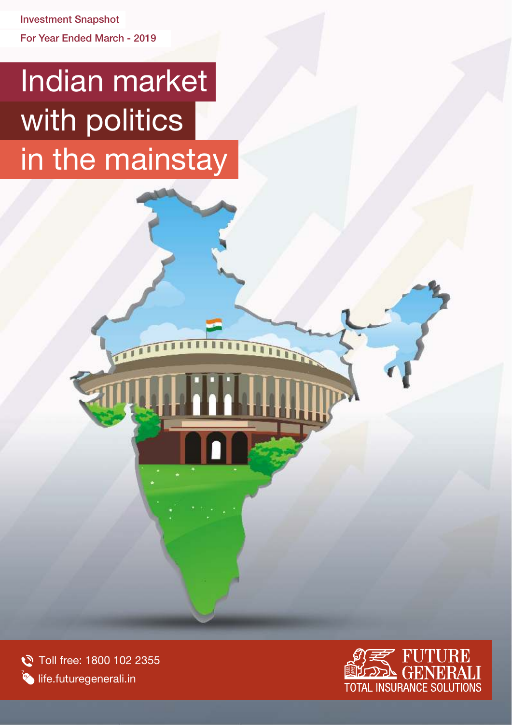For Year Ended March - 2019 Investment Snapshot

# Indian market with politics in the mainstay

111

Toll free: 1800 102 2355 **Solution** life.futuregenerali.in



**TIME**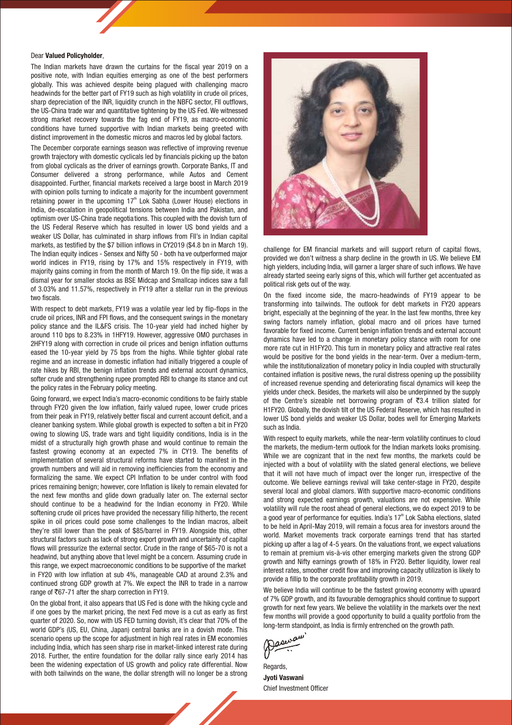### Dear Valued Policyholder,

The Indian markets have drawn the curtains for the fiscal year 2019 on a positive note, with Indian equities emerging as one of the best performers globally. This was achieved despite being plagued with challenging macro headwinds for the better part of FY19 such as high volatility in crude oil prices, sharp depreciation of the INR, liquidity crunch in the NBFC sector, FII outflows, the US-China trade war and quantitative tightening by the US Fed. We witnessed strong market recovery towards the fag end of FY19, as macro-economic conditions have turned supportive with Indian markets being greeted with distinct improvement in the domestic micros and macros led by global factors.

The December corporate earnings season was reflective of improving revenue growth trajectory with domestic cyclicals led by financials picking up the baton from global cyclicals as the driver of earnings growth. Corporate Banks, IT and Consumer delivered a strong performance, while Autos and Cement disappointed. Further, financial markets received a large boost in March 2019 with opinion polls turning to indicate a majority for the incumbent government retaining power in the upcoming 17<sup>th</sup> Lok Sabha (Lower House) elections in India, de-escalation in geopolitical tensions between India and Pakistan, and optimism over US-China trade negotia tions. This coupled with the dovish turn of the US Federal Reserve which has resulted in lower US bond yields and a weaker US Dollar, has culminated in sharp inflows from FII's in Indian capital markets, as testified by the \$7 billion inflows in CY2019 (\$4.8 bn in March 19). The Indian equity indices - Sensex and Nifty 50 - both ha ve outperformed major world indices in FY19, rising by 17% and 15% respectively in FY19, with majority gains coming in from the month of March 19. On the flip side, it was a dismal year for smaller stocks as BSE Midcap and Smallcap indices saw a fall of 3.03% and 11.57%, respectively in FY19 after a stellar run in the previous two fiscals.

With respect to debt markets, FY19 was a volatile year led by flip-flops in the crude oil prices, INR and FPI flows, and the consequent swings in the monetary policy stance and the IL&FS crisis. The 10-year yield had inched higher by around 110 bps to 8.23% in 1HFY19. However, aggressive OMO purchases in 2HFY19 along with correction in crude oil prices and benign inflation outturns eased the 10-year yield by 75 bps from the highs. While tighter global rate regime and an increase in domestic inflation had initially triggered a couple of rate hikes by RBI, the benign inflation trends and external account dynamics, softer crude and strengthening rupee prompted RBI to change its stance and cut the policy rates in the February policy meeting.

Going forward, we expect India's macro-economic conditions to be fairly stable through FY20 given the low inflation, fairly valued rupee, lower crude prices from their peak in FY19, relatively better fiscal and current account deficit, and a cleaner banking system. While global growth is expected to soften a bit in FY20 owing to slowing US, trade wars and tight liquidity conditions, India is in the midst of a structurally high growth phase and would continue to remain the fastest growing economy at an expected 7% in CY19. The benefits of implementation of several structural reforms have started to manifest in the growth numbers and will aid in removing inefficiencies from the economy and formalizing the same. We expect CPI Inflation to be under control with food prices remaining benign; however, core Inflation is likely to remain elevated for the next few months and glide down gradually later on. The external sector should continue to be a headwind for the Indian economy in FY20. While softening crude oil prices have provided the necessary fillip hitherto, the recent spike in oil prices could pose some challenges to the Indian macros, albeit they're still lower than the peak of \$85/barrel in FY19. Alongside this, other structural factors such as lack of strong export growth and uncertainty of capital flows will pressurize the external sector. Crude in the range of \$65-70 is not a headwind, but anything above that level might be a concern. Assuming crude in this range, we expect macroeconomic conditions to be supportive of the market in FY20 with low inflation at sub 4%, manageable CAD at around 2.3% and continued strong GDP growth at 7%. We expect the INR to trade in a narrow range of  $\overline{567-71}$  after the sharp correction in FY19.

On the global front, it also appears that US Fed is done with the hiking cycle and if one goes by the market pricing, the next Fed move is a cut as early as first quarter of 2020. So, now with US FED turning dovish, it's clear that 70% of the world GDP's (US, EU, China, Japan) central banks are in a dovish mode. This scenario opens up the scope for adjustment in high real rates in EM economies including India, which has seen sharp rise in market-linked interest rate during 2018. Further, the entire foundation for the dollar rally since early 2014 has been the widening expectation of US growth and policy rate differential. Now with both tailwinds on the wane, the dollar strength will no longer be a strong



challenge for EM financial markets and will support return of capital flows, provided we don't witness a sharp decline in the growth in US. We believe EM high yielders, including India, will garner a larger share of such inflows. We have already started seeing early signs of this, which will further get accentuated as political risk gets out of the way.

On the fixed income side, the macro-headwinds of FY19 appear to be transforming into tailwinds. The outlook for debt markets in FY20 appears bright, especially at the beginning of the year. In the last few months, three key swing factors namely inflation, global macro and oil prices have turned favorable for fixed income. Current benign inflation trends and external account dynamics have led to a change in monetary policy stance with room for one more rate cut in H1FY20. This turn in monetary policy and attractive real rates would be positive for the bond yields in the near-term. Over a medium-term, while the institutionalization of monetary policy in India coupled with structurally contained inflation is positive news, the rural distress opening up the possibility of increased revenue spending and deteriorating fiscal dynamics will keep the yields under check. Besides, the markets will also be underpinned by the supply of the Centre's sizeable net borrowing program of  $\overline{3}3.4$  trillion slated for H1FY20. Globally, the dovish tilt of the US Federal Reserve, which has resulted in lower US bond yields and weaker US Dollar, bodes well for Emerging Markets such as India.

With respect to equity markets, while the near-term volatility continues to cloud the markets, the medium-term outlook for the Indian markets looks promising. While we are cognizant that in the next few months, the markets could be injected with a bout of volatility with the slated general elections, we believe that it will not have much of impact over the longer run, irrespective of the outcome. We believe earnings revival will take center-stage in FY20, despite several local and global clamors. With supportive macro-economic conditions and strong expected earnings growth, valuations are not expensive. While volatility will rule the roost ahead of general elections, we do expect 2019 to be a good year of performance for equities. India's  $17<sup>th</sup>$  Lok Sabha elections, slated to be held in April-May 2019, will remain a focus area for investors around the world. Market movements track corporate earnings trend that has started picking up after a lag of 4-5 years. On the valuations front, we expect valuations to remain at premium vis-à-vis other emerging markets given the strong GDP growth and Nifty earnings growth of 18% in FY20. Better liquidity, lower real interest rates, smoother credit flow and improving capacity utilization is likely to provide a fillip to the corporate profitability growth in 2019.

We believe India will continue to be the fastest growing economy with upward of 7% GDP growth, and its favourable demographics should continue to support growth for next few years. We believe the volatility in the markets over the next few months will provide a good opportunity to build a quality portfolio from the long-term standpoint, as India is firmly entrenched on the growth path.

Jasura

Regards, Jyoti Vaswani Chief Investment Officer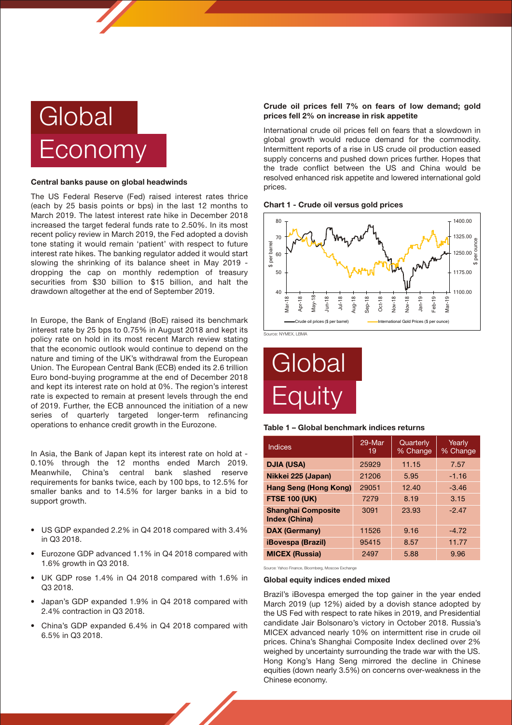

### Central banks pause on global headwinds

The US Federal Reserve (Fed) raised interest rates thrice (each by 25 basis points or bps) in the last 12 months to March 2019. The latest interest rate hike in December 2018 increased the target federal funds rate to 2.50%. In its most recent policy review in March 2019, the Fed adopted a dovish tone stating it would remain 'patient' with respect to future interest rate hikes. The banking regulator added it would start slowing the shrinking of its balance sheet in May 2019 dropping the cap on monthly redemption of treasury securities from \$30 billion to \$15 billion, and halt the drawdown altogether at the end of September 2019.

In Europe, the Bank of England (BoE) raised its benchmark interest rate by 25 bps to 0.75% in August 2018 and kept its policy rate on hold in its most recent March review stating that the economic outlook would continue to depend on the nature and timing of the UK's withdrawal from the European Union. The European Central Bank (ECB) ended its 2.6 trillion Euro bond-buying programme at the end of December 2018 and kept its interest rate on hold at 0%. The region's interest rate is expected to remain at present levels through the end of 2019. Further, the ECB announced the initiation of a new series of quarterly targeted longer-term refinancing operations to enhance credit growth in the Eurozone.

In Asia, the Bank of Japan kept its interest rate on hold at - 0.10% through the 12 months ended March 2019. Meanwhile, China's central bank slashed reserve requirements for banks twice, each by 100 bps, to 12.5% for smaller banks and to 14.5% for larger banks in a bid to support growth.

- US GDP expanded 2.2% in Q4 2018 compared with 3.4% in Q3 2018.
- Eurozone GDP advanced 1.1% in Q4 2018 compared with 1.6% growth in Q3 2018.
- UK GDP rose 1.4% in Q4 2018 compared with 1.6% in Q3 2018.
- Japan's GDP expanded 1.9% in Q4 2018 compared with 2.4% contraction in Q3 2018.
- China's GDP expanded 6.4% in Q4 2018 compared with 6.5% in Q3 2018.

### Crude oil prices fell 7% on fears of low demand; gold prices fell 2% on increase in risk appetite

International crude oil prices fell on fears that a slowdown in global growth would reduce demand for the commodity. Intermittent reports of a rise in US crude oil production eased supply concerns and pushed down prices further. Hopes that the trade conflict between the US and China would be resolved enhanced risk appetite and lowered international gold prices.





Source: NYMEX, LBMA

# **Global Equity**

### Table 1 – Global benchmark indices returns

| Indices                                           | 29-Mar<br>19 | Quarterly<br>% Change | Yearly<br>% Change |
|---------------------------------------------------|--------------|-----------------------|--------------------|
| <b>DJIA (USA)</b>                                 | 25929        | 11.15                 | 7.57               |
| Nikkei 225 (Japan)                                | 21206        | 5.95                  | $-1.16$            |
| Hang Seng (Hong Kong)                             | 29051        | 12.40                 | $-3.46$            |
| <b>FTSE 100 (UK)</b>                              | 7279         | 8.19                  | 3.15               |
| <b>Shanghai Composite</b><br><b>Index (China)</b> | 3091         | 23.93                 | $-2.47$            |
| <b>DAX (Germany)</b>                              | 11526        | 9.16                  | $-4.72$            |
| <b>iBovespa (Brazil)</b>                          | 95415        | 8.57                  | 11.77              |
| <b>MICEX (Russia)</b>                             | 2497         | 5.88                  | 9.96               |

Source: Yahoo Finance, Bloomberg, Moscow Exchange

### Global equity indices ended mixed

Brazil's iBovespa emerged the top gainer in the year ended March 2019 (up 12%) aided by a dovish stance adopted by the US Fed with respect to rate hikes in 2019, and Presidential candidate Jair Bolsonaro's victory in October 2018. Russia's MICEX advanced nearly 10% on intermittent rise in crude oil prices. China's Shanghai Composite Index declined over 2% weighed by uncertainty surrounding the trade war with the US. Hong Kong's Hang Seng mirrored the decline in Chinese equities (down nearly 3.5%) on concerns over-weakness in the Chinese economy.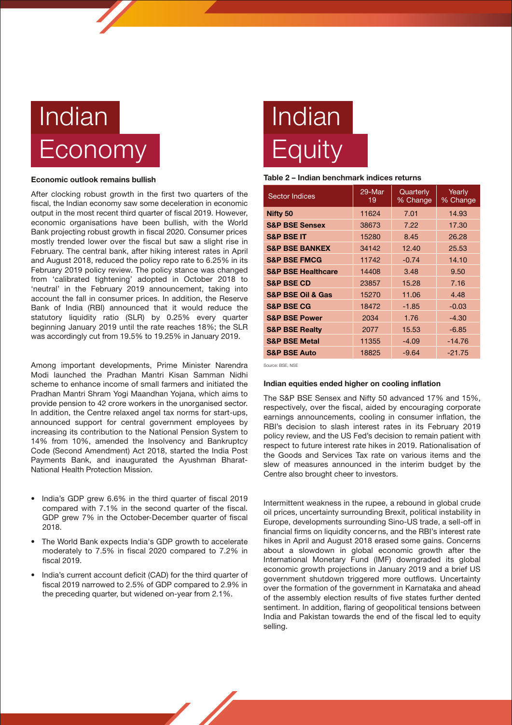# Indian **Economy**

### Economic outlook remains bullish

After clocking robust growth in the first two quarters of the fiscal, the Indian economy saw some deceleration in economic output in the most recent third quarter of fiscal 2019. However, economic organisations have been bullish, with the World Bank projecting robust growth in fiscal 2020. Consumer prices mostly trended lower over the fiscal but saw a slight rise in February. The central bank, after hiking interest rates in April and August 2018, reduced the policy repo rate to 6.25% in its February 2019 policy review. The policy stance was changed from 'calibrated tightening' adopted in October 2018 to 'neutral' in the February 2019 announcement, taking into account the fall in consumer prices. In addition, the Reserve Bank of India (RBI) announced that it would reduce the statutory liquidity ratio (SLR) by 0.25% every quarter beginning January 2019 until the rate reaches 18%; the SLR was accordingly cut from 19.5% to 19.25% in January 2019.

Among important developments, Prime Minister Narendra Modi launched the Pradhan Mantri Kisan Samman Nidhi scheme to enhance income of small farmers and initiated the Pradhan Mantri Shram Yogi Maandhan Yojana, which aims to provide pension to 42 crore workers in the unorganised sector. In addition, the Centre relaxed angel tax norms for start-ups, announced support for central government employees by increasing its contribution to the National Pension System to 14% from 10%, amended the Insolvency and Bankruptcy Code (Second Amendment) Act 2018, started the India Post Payments Bank, and inaugurated the Ayushman Bharat-National Health Protection Mission.

- India's GDP grew 6.6% in the third quarter of fiscal 2019 compared with 7.1% in the second quarter of the fiscal. GDP grew 7% in the October-December quarter of fiscal 2018.
- The World Bank expects India's GDP growth to accelerate moderately to 7.5% in fiscal 2020 compared to 7.2% in fiscal 2019.
- India's current account deficit (CAD) for the third quarter of fiscal 2019 narrowed to 2.5% of GDP compared to 2.9% in the preceding quarter, but widened on-year from 2.1%.

# Indian **Equity**

### Table 2 – Indian benchmark indices returns

| <b>Sector Indices</b>            | 29-Mar<br>19 | Quarterly<br>% Change | Yearly<br>% Change |
|----------------------------------|--------------|-----------------------|--------------------|
| <b>Nifty 50</b>                  | 11624        | 7.01                  | 14.93              |
| <b>S&amp;P BSE Sensex</b>        | 38673        | 7.22                  | 17.30              |
| <b>S&amp;P BSE IT</b>            | 15280        | 8.45                  | 26.28              |
| <b>S&amp;P BSE BANKEX</b>        | 34142        | 12.40                 | 25.53              |
| <b>S&amp;P BSE FMCG</b>          | 11742        | $-0.74$               | 14.10              |
| <b>S&amp;P BSE Healthcare</b>    | 14408        | 3.48                  | 9.50               |
| <b>S&amp;P BSE CD</b>            | 23857        | 15.28                 | 7.16               |
| <b>S&amp;P BSE Oil &amp; Gas</b> | 15270        | 11.06                 | 4.48               |
| <b>S&amp;P BSE CG</b>            | 18472        | $-1.85$               | $-0.03$            |
| <b>S&amp;P BSE Power</b>         | 2034         | 1.76                  | $-4.30$            |
| <b>S&amp;P BSE Realty</b>        | 2077         | 15.53                 | $-6.85$            |
| <b>S&amp;P BSE Metal</b>         | 11355        | $-4.09$               | $-14.76$           |
| <b>S&amp;P BSE Auto</b>          | 18825        | $-9.64$               | $-21.75$           |

Source: BSE, NSE

### Indian equities ended higher on cooling inflation

The S&P BSE Sensex and Nifty 50 advanced 17% and 15%, respectively, over the fiscal, aided by encouraging corporate earnings announcements, cooling in consumer inflation, the RBI's decision to slash interest rates in its February 2019 policy review, and the US Fed's decision to remain patient with respect to future interest rate hikes in 2019. Rationalisation of the Goods and Services Tax rate on various items and the slew of measures announced in the interim budget by the Centre also brought cheer to investors.

Intermittent weakness in the rupee, a rebound in global crude oil prices, uncertainty surrounding Brexit, political instability in Europe, developments surrounding Sino-US trade, a sell-off in financial firms on liquidity concerns, and the RBI's interest rate hikes in April and August 2018 erased some gains. Concerns about a slowdown in global economic growth after the International Monetary Fund (IMF) downgraded its global economic growth projections in January 2019 and a brief US government shutdown triggered more outflows. Uncertainty over the formation of the government in Karnataka and ahead of the assembly election results of five states further dented sentiment. In addition, flaring of geopolitical tensions between India and Pakistan towards the end of the fiscal led to equity selling.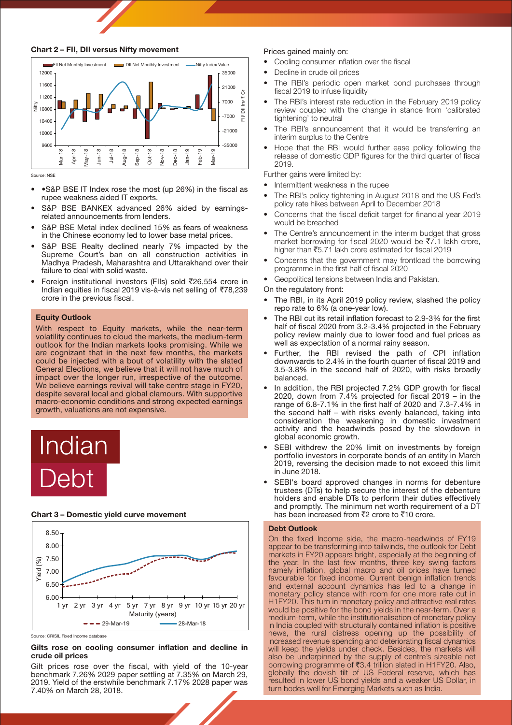



Source: NSE

- •S&P BSE IT Index rose the most (up 26%) in the fiscal as rupee weakness aided IT exports.
- S&P BSE BANKEX advanced 26% aided by earningsrelated announcements from lenders.
- S&P BSE Metal index declined 15% as fears of weakness in the Chinese economy led to lower base metal prices.
- S&P BSE Realty declined nearly 7% impacted by the Supreme Court's ban on all construction activities in Madhya Pradesh, Maharashtra and Uttarakhand over their failure to deal with solid waste.
- Foreign institutional investors (FIIs) sold `26,554 crore in Indian equities in fiscal 2019 vis-à-vis net selling of `78,239 crore in the previous fiscal.

### Equity Outlook

With respect to Equity markets, while the near-term volatility continues to cloud the markets, the medium-term outlook for the Indian markets looks promising. While we are cognizant that in the next few months, the markets could be injected with a bout of volatility with the slated General Elections, we believe that it will not have much of impact over the longer run, irrespective of the outcome. We believe earnings revival will take centre stage in FY20, despite several local and global clamours. With supportive macro-economic conditions and strong expected earnings growth, valuations are not expensive.



### Chart 3 – Domestic yield curve movement



Source: CRISIL Fixed Income database

### Gilts rose on cooling consumer inflation and decline in crude oil prices

Gilt prices rose over the fiscal, with yield of the 10-year benchmark 7.26% 2029 paper settling at 7.35% on March 29, 2019. Yield of the erstwhile benchmark 7.17% 2028 paper was 7.40% on March 28, 2018.

### Prices gained mainly on:

- Cooling consumer inflation over the fiscal
- Decline in crude oil prices
- The RBI's periodic open market bond purchases through fiscal 2019 to infuse liquidity
- The RBI's interest rate reduction in the February 2019 policy review coupled with the change in stance from 'calibrated tightening' to neutral
- The RBI's announcement that it would be transferring an interim surplus to the Centre
- Hope that the RBI would further ease policy following the release of domestic GDP figures for the third quarter of fiscal 2019.

Further gains were limited by:

- Intermittent weakness in the rupee
- The RBI's policy tightening in August 2018 and the US Fed's policy rate hikes between April to December 2018
- Concerns that the fiscal deficit target for financial year 2019 would be breached
- The Centre's announcement in the interim budget that gross market borrowing for fiscal 2020 would be  $\overline{57.1}$  lakh crore, higher than  $\overline{55.71}$  lakh crore estimated for fiscal 2019
- Concerns that the government may frontload the borrowing programme in the first half of fiscal 2020
- Geopolitical tensions between India and Pakistan.

On the regulatory front:

- The RBI, in its April 2019 policy review, slashed the policy repo rate to 6% (a one-year low).
- The RBI cut its retail inflation forecast to 2.9-3% for the first half of fiscal 2020 from 3.2-3.4% projected in the February policy review mainly due to lower food and fuel prices as well as expectation of a normal rainy season.
- Further, the RBI revised the path of CPI inflation downwards to 2.4% in the fourth quarter of fiscal 2019 and 3.5-3.8% in the second half of 2020, with risks broadly balanced.
- In addition, the RBI projected 7.2% GDP growth for fiscal 2020, down from 7.4% projected for fiscal 2019 – in the range of 6.8-7.1% in the first half of 2020 and 7.3-7.4% in the second half – with risks evenly balanced, taking into consideration the weakening in domestic investment activity and the headwinds posed by the slowdown in global economic growth.
- SEBI withdrew the 20% limit on investments by foreign portfolio investors in corporate bonds of an entity in March 2019, reversing the decision made to not exceed this limit in June 2018.
- SEBI's board approved changes in norms for debenture trustees (DTs) to help secure the interest of the debenture holders and enable DTs to perform their duties effectively and promptly. The minimum net worth requirement of a DT has been increased from  $\bar{z}$  crore to  $\bar{z}$ 10 crore.

### Debt Outlook

On the fixed Income side, the macro-headwinds of FY19 appear to be transforming into tailwinds, the outlook for Debt markets in FY20 appears bright, especially at the beginning of the year. In the last few months, three key swing factors namely inflation, global macro and oil prices have turned favourable for fixed income. Current benign inflation trends and external account dynamics has led to a change in monetary policy stance with room for one more rate cut in H1FY20. This turn in monetary policy and attractive real rates would be positive for the bond yields in the near-term. Over a medium-term, while the institutionalisation of monetary policy in India coupled with structurally contained inflation is positive news, the rural distress opening up the possibility of increased revenue spending and deteriorating fiscal dynamics will keep the yields under check. Besides, the markets will also be underpinned by the supply of centre's sizeable net borrowing programme of  $\overline{5}3.4$  trillion slated in H1FY20. Also, globally the dovish tilt of US Federal reserve, which has resulted in lower US bond yields and a weaker US Dollar, in turn bodes well for Emerging Markets such as India.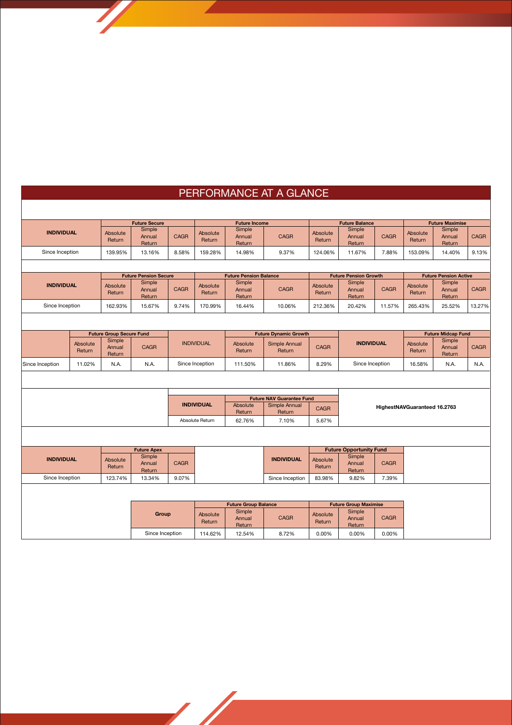# PERFORMANCE AT A GLANCE

|                   | <b>Future Secure</b> |                                 | <b>Future Income</b>         |                   |                    |                               | <b>Future Balance</b>            |                           | <b>Future Maximise</b>         |                   |                              |                              |             |
|-------------------|----------------------|---------------------------------|------------------------------|-------------------|--------------------|-------------------------------|----------------------------------|---------------------------|--------------------------------|-------------------|------------------------------|------------------------------|-------------|
| <b>INDIVIDUAL</b> |                      | Absolute<br>Return              | Simple<br>Annual<br>Return   | <b>CAGR</b>       | Absolute<br>Return | Simple<br>Annual<br>Return    | <b>CAGR</b>                      | Absolute<br>Return        | Simple<br>Annual<br>Return     | <b>CAGR</b>       | <b>Absolute</b><br>Return    | Simple<br>Annual<br>Return   | <b>CAGR</b> |
| Since Inception   |                      | 139.95%                         | 13.16%                       | 8.58%             | 159.28%            | 14.98%                        | 9.37%                            | 124.06%                   | 11.67%                         | 7.88%             | 153.09%                      | 14.40%                       | 9.13%       |
|                   |                      |                                 |                              |                   |                    |                               |                                  |                           |                                |                   |                              |                              |             |
| <b>INDIVIDUAL</b> |                      |                                 | <b>Future Pension Secure</b> |                   |                    | <b>Future Pension Balance</b> |                                  |                           | <b>Future Pension Growth</b>   |                   |                              | <b>Future Pension Active</b> |             |
|                   |                      | <b>Absolute</b><br>Return       | Simple<br>Annual<br>Return   | <b>CAGR</b>       | Absolute<br>Return | Simple<br>Annual<br>Return    | <b>CAGR</b>                      | Absolute<br>Return        | Simple<br>Annual<br>Return     | <b>CAGR</b>       | Absolute<br>Return           | Simple<br>Annual<br>Return   | <b>CAGR</b> |
| Since Inception   |                      | 162.93%                         | 15.67%                       | 9.74%             | 170.99%            | 16.44%                        | 10.06%                           | 212.36%                   | 20.42%                         | 11.57%            | 265.43%                      | 25.52%                       | 13.27%      |
|                   |                      |                                 |                              |                   |                    |                               |                                  |                           |                                |                   |                              |                              |             |
|                   |                      | <b>Future Group Secure Fund</b> |                              |                   |                    |                               | <b>Future Dynamic Growth</b>     |                           |                                |                   | <b>Future Midcap Fund</b>    |                              |             |
|                   | Absolute<br>Return   | Simple<br>Annual<br>Return      | <b>CAGR</b>                  |                   | <b>INDIVIDUAL</b>  | Absolute<br>Return            | Simple Annual<br>Return          | <b>CAGR</b>               |                                | <b>INDIVIDUAL</b> |                              | Simple<br>Annual<br>Return   | <b>CAGR</b> |
| Since Inception   | 11.02%               | N.A.                            | N.A.                         |                   | Since Inception    |                               | 11.86%                           | 8.29%                     | Since Inception                |                   | 16.58%                       | N.A.                         | N.A.        |
|                   |                      |                                 |                              |                   |                    |                               |                                  |                           |                                |                   |                              |                              |             |
|                   |                      |                                 |                              |                   |                    |                               | <b>Future NAV Guarantee Fund</b> |                           |                                |                   |                              |                              |             |
|                   |                      |                                 |                              | <b>INDIVIDUAL</b> |                    | Absolute<br>Return            | Simple Annual<br>Return          | <b>CAGR</b>               |                                |                   | HighestNAVGuaranteed 16.2763 |                              |             |
|                   |                      |                                 |                              | Absolute Return   |                    | 62.76%                        | 7.10%                            | 5.67%                     |                                |                   |                              |                              |             |
|                   |                      |                                 |                              |                   |                    |                               |                                  |                           |                                |                   |                              |                              |             |
|                   |                      |                                 | <b>Future Apex</b>           |                   |                    |                               |                                  |                           | <b>Future Opportunity Fund</b> |                   |                              |                              |             |
| <b>INDIVIDUAL</b> |                      | <b>Absolute</b><br>Return       | Simple<br>Annual<br>Return   | <b>CAGR</b>       |                    |                               | <b>INDIVIDUAL</b>                | <b>Absolute</b><br>Return | Simple<br>Annual<br>Return     | <b>CAGR</b>       |                              |                              |             |
| Since Inception   |                      | 123.74%                         | 13.34%                       | 9.07%             |                    |                               | Since Inception                  | 83.98%                    | 9.82%                          | 7.39%             |                              |                              |             |
|                   |                      |                                 |                              |                   |                    |                               |                                  |                           |                                |                   |                              |                              |             |
|                   |                      |                                 |                              |                   |                    | <b>Future Group Balance</b>   |                                  |                           | <b>Future Group Maximise</b>   |                   |                              |                              |             |
|                   |                      |                                 | Group                        |                   | Absolute<br>Return | Simple<br>Annual<br>Return    | <b>CAGR</b>                      | Absolute<br>Return        | Simple<br>Annual<br>Return     | <b>CAGR</b>       |                              |                              |             |
|                   |                      |                                 | Since Inception              |                   | 114.62%            | 12.54%                        | 8.72%                            | 0.00%                     | 0.00%                          | 0.00%             |                              |                              |             |

**September 1888**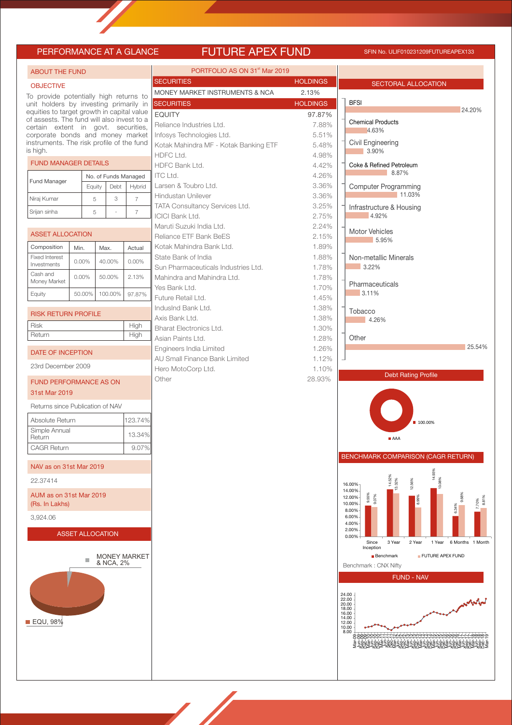# PERFORMANCE AT A GLANCE FUTURE APEX FUND SFIN No. ULIF010231209FUTUREAPEX133

| <b>ABOUT THE FUND</b>                                                                |                         |        |           |                                | PORTFOLIO AS ON 31 <sup>st</sup> Mar 2019          |                 |                                                                      |             |
|--------------------------------------------------------------------------------------|-------------------------|--------|-----------|--------------------------------|----------------------------------------------------|-----------------|----------------------------------------------------------------------|-------------|
| <b>OBJECTIVE</b>                                                                     |                         |        |           |                                | <b>SECURITIES</b>                                  | <b>HOLDINGS</b> | <b>SECTORAL ALLOCATION</b>                                           |             |
| To provide potentially high returns to                                               |                         |        |           |                                | MONEY MARKET INSTRUMENTS & NCA                     | 2.13%           |                                                                      |             |
| unit holders by investing primarily in<br>equities to target growth in capital value |                         |        |           |                                | <b>SECURITIES</b><br><b>EQUITY</b>                 | <b>HOLDINGS</b> | <b>BFSI</b>                                                          | 24.20%      |
| of assests. The fund will also invest to a                                           |                         |        |           |                                | Reliance Industries Ltd.                           | 97.87%<br>7.88% | <b>Chemical Products</b>                                             |             |
| certain extent in govt. securities,<br>corporate bonds and money market              |                         |        |           |                                | Infosys Technologies Ltd.                          | 5.51%           | 4.63%                                                                |             |
| instruments. The risk profile of the fund<br>is high.                                |                         |        |           |                                | Kotak Mahindra MF - Kotak Banking ETF              | 5.48%           | Civil Engineering<br>3.90%                                           |             |
| <b>FUND MANAGER DETAILS</b>                                                          |                         |        |           |                                | HDFC Ltd.                                          | 4.98%           |                                                                      |             |
|                                                                                      |                         |        |           |                                | HDFC Bank Ltd.<br><b>ITC Ltd.</b>                  | 4.42%<br>4.26%  | Coke & Refined Petroleum<br>8.87%                                    |             |
| Fund Manager                                                                         | Equity                  |        | Debt      | No. of Funds Managed<br>Hybrid | Larsen & Toubro Ltd.                               | 3.36%           | <b>Computer Programming</b>                                          |             |
| Niraj Kumar                                                                          |                         | 5      | 3         | $\overline{7}$                 | Hindustan Unilever                                 | 3.36%           | 11.03%                                                               |             |
| Srijan sinha                                                                         |                         | 5      |           | $\overline{7}$                 | TATA Consultancy Services Ltd.                     | 3.25%           | Infrastructure & Housing                                             |             |
|                                                                                      |                         |        |           |                                | <b>ICICI Bank Ltd.</b>                             | 2.75%           | 4.92%                                                                |             |
| <b>ASSET ALLOCATION</b>                                                              |                         |        |           |                                | Maruti Suzuki India Ltd.                           | 2.24%           | <b>Motor Vehicles</b>                                                |             |
| Composition                                                                          |                         |        |           |                                | Reliance ETF Bank BeES<br>Kotak Mahindra Bank Ltd. | 2.15%<br>1.89%  | 5.95%                                                                |             |
| <b>Fixed Interest</b>                                                                | Min.                    | Max.   |           | Actual                         | State Bank of India                                | 1.88%           | Non-metallic Minerals                                                |             |
| Investments                                                                          | $0.00\%$                | 40.00% |           | $0.00\%$                       | Sun Pharmaceuticals Industries Ltd.                | 1.78%           | 3.22%                                                                |             |
| Cash and<br>Money Market                                                             | 0.00%                   | 50.00% |           | 2.13%                          | Mahindra and Mahindra Ltd.                         | 1.78%           |                                                                      |             |
|                                                                                      | 50.00%                  |        | 100.00%   | 97.87%                         | Yes Bank Ltd.                                      | 1.70%           | Pharmaceuticals<br>3.11%                                             |             |
| Equity                                                                               |                         |        |           |                                | Future Retail Ltd.                                 | 1.45%           |                                                                      |             |
| <b>RISK RETURN PROFILE</b>                                                           |                         |        |           |                                | IndusInd Bank Ltd.                                 | 1.38%           | Tobacco                                                              |             |
| <b>Risk</b>                                                                          |                         |        |           | High                           | Axis Bank Ltd.<br><b>Bharat Electronics Ltd.</b>   | 1.38%<br>1.30%  | 4.26%                                                                |             |
| Return                                                                               |                         |        |           | High                           | Asian Paints Ltd.                                  | 1.28%           | Other                                                                |             |
| DATE OF INCEPTION                                                                    |                         |        |           |                                | Engineers India Limited                            | 1.26%           |                                                                      | 25.54%      |
|                                                                                      |                         |        |           |                                | <b>AU Small Finance Bank Limited</b>               | 1.12%           |                                                                      |             |
| 23rd December 2009                                                                   |                         |        |           |                                | Hero MotoCorp Ltd.                                 | 1.10%           | <b>Debt Rating Profile</b>                                           |             |
| <b>FUND PERFORMANCE AS ON</b>                                                        |                         |        |           |                                | Other                                              | 28.93%          |                                                                      |             |
| 31st Mar 2019                                                                        |                         |        |           |                                |                                                    |                 |                                                                      |             |
| Returns since Publication of NAV                                                     |                         |        |           |                                |                                                    |                 |                                                                      |             |
| Absolute Return                                                                      |                         |        |           | 123.74%                        |                                                    |                 | ■ 100.00%                                                            |             |
| Simple Annual<br>Return                                                              |                         |        |           | 13.34%                         |                                                    |                 | AAA                                                                  |             |
| <b>CAGR Return</b>                                                                   |                         |        |           | 9.07%                          |                                                    |                 |                                                                      |             |
| NAV as on 31st Mar 2019                                                              |                         |        |           |                                |                                                    |                 | <b>BENCHMARK COMPARISON (CAGR RETURN)</b>                            |             |
| 22.37414                                                                             |                         |        |           |                                |                                                    |                 | 14.93%<br>14.529                                                     |             |
| AUM as on 31st Mar 2019                                                              |                         |        |           |                                |                                                    |                 | 13.32%<br>12.56%<br>16.00%<br>14.00%<br>12.00%                       |             |
| (Rs. In Lakhs)                                                                       |                         |        |           |                                |                                                    |                 | 9.559<br>9.07%<br>ă<br>10.00%<br>6.34%<br>8.00%                      |             |
| 3,924.06                                                                             |                         |        |           |                                |                                                    |                 | 6.00%<br>4.00%                                                       |             |
|                                                                                      | <b>ASSET ALLOCATION</b> |        |           |                                |                                                    |                 | 2.00%<br>0.00%                                                       |             |
|                                                                                      |                         |        |           |                                |                                                    |                 | 6 Months 1 Month<br>Since<br>3 Year<br>2 Year<br>1 Year<br>Inception |             |
|                                                                                      |                         |        | & NCA, 2% | <b>MONEY MARKET</b>            |                                                    |                 | <b>Benchmark</b><br>FUTURE APEX FUND<br>Benchmark: CNX Nifty         |             |
|                                                                                      |                         |        |           |                                |                                                    |                 |                                                                      |             |
|                                                                                      |                         |        |           |                                |                                                    |                 | <b>FUND - NAV</b>                                                    |             |
|                                                                                      |                         |        |           |                                |                                                    |                 | 24.00<br>22.00                                                       |             |
|                                                                                      |                         |        |           |                                |                                                    |                 | 20.00<br>18.00                                                       | <b>AMAR</b> |
| <b>EQU, 98%</b>                                                                      |                         |        |           |                                |                                                    |                 | 16.00<br>14.00<br>12.00                                              |             |
|                                                                                      |                         |        |           |                                |                                                    |                 | 10.00<br>8.00<br>KVUUWWWW94444WWWWW0000N-N-0000000                   |             |
|                                                                                      |                         |        |           |                                |                                                    |                 | ׆ۄڿۄڐۄڐۄڐۄڐۄ؋ۄۼٷۿۄڂۄۄۄڂۄۄ<br>ڂ؋ۄڐڂۭۄۄڐڂۿۄۄڂ؋ۄۊڂۄۄۄڂ؏ۿۄڂ              |             |
|                                                                                      |                         |        |           |                                |                                                    |                 |                                                                      |             |
|                                                                                      |                         |        |           |                                |                                                    |                 |                                                                      |             |
|                                                                                      |                         |        |           |                                |                                                    |                 |                                                                      |             |
|                                                                                      |                         |        |           |                                |                                                    |                 |                                                                      |             |
|                                                                                      |                         |        |           |                                |                                                    |                 |                                                                      |             |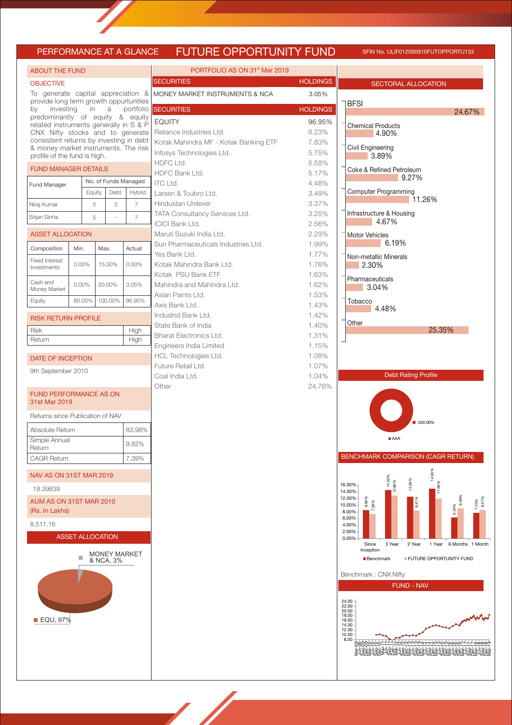### PERFORMANCE AT A GLANCE FUTURE OPPORTUNITY FUND SFIN NO. ULIF012090910FUTOPPORTU133

| <b>ABOUT THE FUND</b>                                                      |          |                         |                           |                      | PORTFOLIO AS ON 31 <sup>st</sup> Mar 2019 |                 |                                                               |
|----------------------------------------------------------------------------|----------|-------------------------|---------------------------|----------------------|-------------------------------------------|-----------------|---------------------------------------------------------------|
| <b>OBJECTIVE</b>                                                           |          |                         |                           |                      | <b>SECURITIES</b>                         | <b>HOLDINGS</b> | <b>SECTORAL ALLOCATION</b>                                    |
| To generate capital appreciation &                                         |          |                         |                           |                      | MONEY MARKET INSTRUMENTS & NCA            | 3.05%           |                                                               |
| provide long term growth oppurtunities<br>investing<br>in<br>a<br>by       |          |                         |                           |                      | portfolio SECURITIES                      | <b>HOLDINGS</b> | <b>BFSI</b>                                                   |
| predominantly of equity & equity                                           |          |                         |                           |                      | <b>EQUITY</b>                             | 96.95%          | 24.67%                                                        |
| related instruments generally in S & P<br>CNX Nifty stocks and to generate |          |                         |                           |                      | Reliance Industries Ltd.                  | 8.23%           | <b>Chemical Products</b>                                      |
| consistent returns by investing in debt                                    |          |                         |                           |                      | Kotak Mahindra MF - Kotak Banking ETF     | 7.83%           | 4.90%                                                         |
| & money market instruments. The risk                                       |          |                         |                           |                      | Infosys Technologies Ltd.                 | 5.75%           | Civil Engineering                                             |
| profile of the fund is high.                                               |          |                         |                           |                      | HDFC Ltd.                                 | 5.58%           | 3.89%                                                         |
| <b>FUND MANAGER DETAILS</b>                                                |          |                         |                           |                      | HDFC Bank Ltd.                            | 5.17%           | Coke & Refined Petroleum                                      |
| Fund Manager                                                               |          |                         |                           | No. of Funds Managed | ITC Ltd.                                  | 4.48%           | 9.27%                                                         |
|                                                                            |          | Equity                  | Debt                      | Hybrid               | Larsen & Toubro Ltd.                      | 3.49%           | Computer Programming<br>11.26%                                |
| Niraj Kumar                                                                |          | 5                       | $\ensuremath{\mathsf{3}}$ | $\overline{7}$       | Hindustan Unilever                        | 3.37%           |                                                               |
| Srijan Sinha                                                               |          | 5                       |                           | $\overline{7}$       | TATA Consultancy Services Ltd.            | 3.25%           | Infrastructure & Housing                                      |
|                                                                            |          |                         |                           |                      | <b>ICICI Bank Ltd.</b>                    | 2.56%           | 4.67%                                                         |
| <b>ASSET ALLOCATION</b>                                                    |          |                         |                           |                      | Maruti Suzuki India Ltd.                  | 2.29%           | <b>Motor Vehicles</b>                                         |
| Composition                                                                | Min.     | Max.                    |                           | Actual               | Sun Pharmaceuticals Industries Ltd.       | 1.99%           | 6.19%                                                         |
| <b>Fixed Interest</b>                                                      | 0.00%    |                         | 15.00%                    | $0.00\%$             | Yes Bank Ltd.<br>Kotak Mahindra Bank Ltd. | 1.77%           | Non-metallic Minerals                                         |
| Investments                                                                |          |                         |                           |                      | Kotak PSU Bank ETF                        | 1.76%<br>1.63%  | 2.30%                                                         |
| Cash and                                                                   | $0.00\%$ |                         | 20.00%                    | 3.05%                | Mahindra and Mahindra Ltd.                | 1.62%           | Pharmaceuticals                                               |
| Money Market                                                               |          |                         |                           |                      | Asian Paints Ltd.                         | 1.53%           | 3.04%                                                         |
| Equity                                                                     | 80.00%   |                         | 100.00%                   | 96.95%               | Axis Bank Ltd.                            | 1.43%           | Tobacco                                                       |
| <b>RISK RETURN PROFILE</b>                                                 |          |                         |                           |                      | IndusInd Bank Ltd.                        | 1.42%           | 4.48%                                                         |
|                                                                            |          |                         |                           |                      | State Bank of India                       | 1.40%           | Other<br>25.35%                                               |
| <b>Risk</b><br>Return                                                      |          |                         |                           | High<br>High         | <b>Bharat Electronics Ltd.</b>            | 1.31%           |                                                               |
|                                                                            |          |                         |                           |                      | Engineers India Limited                   | 1.15%           |                                                               |
| DATE OF INCEPTION                                                          |          |                         |                           |                      | HCL Technologies Ltd.                     | 1.08%           |                                                               |
| 9th September 2010                                                         |          |                         |                           |                      | Future Retail Ltd.                        | 1.07%           |                                                               |
|                                                                            |          |                         |                           |                      | Coal India Ltd.                           | 1.04%           | <b>Debt Rating Profile</b>                                    |
| <b>FUND PERFORMANCE AS ON</b>                                              |          |                         |                           |                      | Other                                     | 24.76%          |                                                               |
| 31st Mar 2019                                                              |          |                         |                           |                      |                                           |                 |                                                               |
| Returns since Publication of NAV                                           |          |                         |                           |                      |                                           |                 | ■ 100.00%                                                     |
| Absolute Return                                                            |          |                         |                           | 83.98%               |                                           |                 |                                                               |
| Simple Annual<br>Return                                                    |          |                         |                           | 9.82%                |                                           |                 | AAA                                                           |
| <b>CAGR Return</b>                                                         |          |                         |                           | 7.39%                |                                           |                 | <b>BENCHMARK COMPARISON (CAGR RETURN)</b>                     |
| NAV AS ON 31ST MAR 2019                                                    |          |                         |                           |                      |                                           |                 | 14.93%                                                        |
| 18.39839                                                                   |          |                         |                           |                      |                                           |                 | 14.52%<br>12.56%<br>.86%<br>16.00%<br><u>نہ</u><br>14.00%     |
| AUM AS ON 31ST MAR 2010                                                    |          |                         |                           |                      |                                           |                 | 12.00%<br>9.09%<br>8.56%<br>8.57%                             |
| (Rs. In Lakhs)                                                             |          |                         |                           |                      |                                           |                 | 7.70%<br>39%<br>$\frac{4}{3}$<br>10.00%<br>6.34%<br>8.00%     |
| 8,511.16                                                                   |          |                         |                           |                      |                                           |                 | 6.00%                                                         |
|                                                                            |          |                         |                           |                      |                                           |                 | 4.00%<br>2.00%                                                |
|                                                                            |          | <b>ASSET ALLOCATION</b> |                           |                      |                                           |                 | 0.00%<br>Since<br>3 Year<br>2 Year<br>1 Year 6 Months 1 Month |
|                                                                            | П        |                         |                           | <b>MONEY MARKET</b>  |                                           |                 | Inception<br>FUTURE OPPORTUNITY FUND                          |
|                                                                            |          |                         | & NCA, 3%                 |                      |                                           |                 | <b>Benchmark</b>                                              |
|                                                                            |          |                         |                           |                      |                                           |                 | Benchmark: CNX Nifty                                          |
|                                                                            |          |                         |                           |                      |                                           |                 | <b>FUND - NAV</b>                                             |
|                                                                            |          |                         |                           |                      |                                           |                 | 24.00                                                         |
|                                                                            |          |                         |                           |                      |                                           |                 | 22.00<br>20.00                                                |
| <b>EQU, 97%</b>                                                            |          |                         |                           |                      |                                           |                 | 18.00<br>16.00<br>14.00                                       |
|                                                                            |          |                         |                           |                      |                                           |                 | 12.00<br>10.00                                                |
|                                                                            |          |                         |                           |                      |                                           |                 | 8.00<br>%%%#444%%%%%%%%%%%%%<br>888800000                     |
|                                                                            |          |                         |                           |                      |                                           |                 | ≫ທ∩≥⊃ທ∩≥⊃ທ∩≥                                                  |
|                                                                            |          |                         |                           |                      |                                           |                 |                                                               |
|                                                                            |          |                         |                           |                      |                                           |                 |                                                               |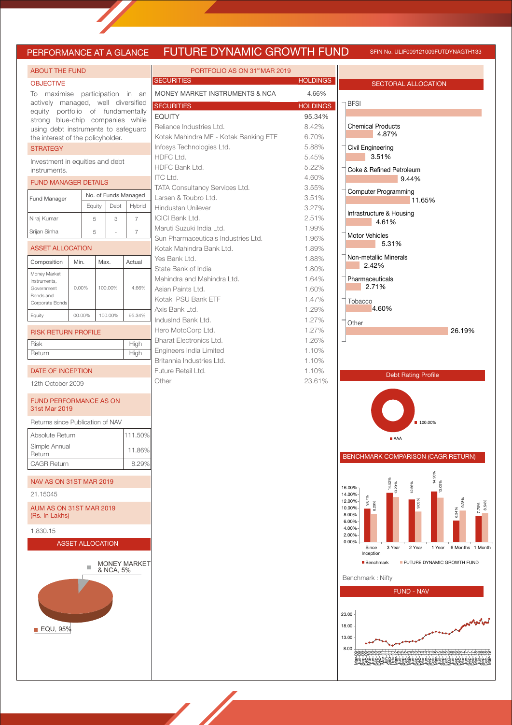### JRE DYNAMIC GROWTH FUND SFIN NO. ULIF009121009FUTDYNAGTH133

| PERFORMANCE AT A GLANCE                                               |          |                         |      |           |                                       |  |  |  |  |
|-----------------------------------------------------------------------|----------|-------------------------|------|-----------|---------------------------------------|--|--|--|--|
| <b>ABOUT THE FUND</b>                                                 |          |                         |      |           |                                       |  |  |  |  |
| <b>OBJECTIVE</b>                                                      |          |                         |      |           |                                       |  |  |  |  |
| To maximise participation in an                                       |          |                         |      |           |                                       |  |  |  |  |
| actively managed, well diversified                                    |          |                         |      |           |                                       |  |  |  |  |
| equity portfolio of fundamentally<br>strong blue-chip companies while |          |                         |      |           |                                       |  |  |  |  |
| using debt instruments to safeguard                                   |          |                         |      |           |                                       |  |  |  |  |
| the interest of the policyholder.<br><b>STRATEGY</b>                  |          |                         |      |           |                                       |  |  |  |  |
| Investment in equities and debt                                       |          |                         |      |           |                                       |  |  |  |  |
| instruments.                                                          |          |                         |      |           |                                       |  |  |  |  |
| <b>FUND MANAGER DETAILS</b>                                           |          |                         |      |           |                                       |  |  |  |  |
| Fund Manager                                                          |          | Equity                  |      | Debt      | No. of Funds Managed<br><b>Hybrid</b> |  |  |  |  |
| Niraj Kumar                                                           |          | 5                       |      | 3         | $\overline{7}$                        |  |  |  |  |
| Srijan Sinha                                                          |          | 5                       |      |           | 7                                     |  |  |  |  |
|                                                                       |          |                         |      |           |                                       |  |  |  |  |
| <b>ASSET ALLOCATION</b>                                               |          |                         |      |           |                                       |  |  |  |  |
| Composition<br>Money Market                                           | Min.     |                         | Max. |           | Actual                                |  |  |  |  |
| Instruments,                                                          |          |                         |      |           |                                       |  |  |  |  |
| Government<br>Bonds and                                               | $0.00\%$ |                         |      | 100.00%   | 4.66%                                 |  |  |  |  |
| Corporate Bonds                                                       |          |                         |      |           |                                       |  |  |  |  |
| Equity                                                                |          | 00.00%                  |      | 100.00%   | 95.34%                                |  |  |  |  |
| <b>RISK RETURN PROFILE</b>                                            |          |                         |      |           |                                       |  |  |  |  |
| <b>Risk</b><br>Return                                                 |          |                         |      |           | High<br>High                          |  |  |  |  |
|                                                                       |          |                         |      |           |                                       |  |  |  |  |
| <b>DATE OF INCEPTION</b>                                              |          |                         |      |           |                                       |  |  |  |  |
| 12th October 2009                                                     |          |                         |      |           |                                       |  |  |  |  |
| <b>FUND PERFORMANCE AS ON</b><br>31st Mar 2019                        |          |                         |      |           |                                       |  |  |  |  |
| Returns since Publication of NAV                                      |          |                         |      |           |                                       |  |  |  |  |
| Absolute Return                                                       |          |                         |      |           | 111.50%                               |  |  |  |  |
| Simple Annual<br>Return                                               |          |                         |      |           | 11.86%                                |  |  |  |  |
| <b>CAGR Return</b>                                                    |          |                         |      |           | 8.29%                                 |  |  |  |  |
|                                                                       |          |                         |      |           |                                       |  |  |  |  |
| <b>NAV AS ON 31ST MAR 2019</b><br>21.15045                            |          |                         |      |           |                                       |  |  |  |  |
| AUM AS ON 31ST MAR 2019<br>(Rs. In Lakhs)                             |          |                         |      |           |                                       |  |  |  |  |
| 1,830.15                                                              |          |                         |      |           |                                       |  |  |  |  |
|                                                                       |          | <b>ASSET ALLOCATION</b> |      |           |                                       |  |  |  |  |
|                                                                       |          | <b>College</b>          |      | & NCA, 5% | <b>MONEY MARKET</b>                   |  |  |  |  |
| $\blacksquare$ EQU, 95%                                               |          |                         |      |           |                                       |  |  |  |  |

| PORTFOLIO AS ON 31 <sup>st</sup> MAR 2019 |                 |
|-------------------------------------------|-----------------|
| <b>SECURITIES</b>                         | <b>HOLDINGS</b> |
| MONEY MARKET INSTRUMENTS & NCA            | 4.66%           |
| <b>SECURITIES</b>                         | <b>HOLDINGS</b> |
| <b>EQUITY</b>                             | 95.34%          |
| Reliance Industries Ltd.                  | 8.42%           |
| Kotak Mahindra MF - Kotak Banking ETF     | 6.70%           |
| Infosys Technologies Ltd.                 | 5.88%           |
| HDFC Ltd.                                 | 5.45%           |
| HDFC Bank Ltd.                            | 5.22%           |
| <b>ITC Ltd.</b>                           | 4.60%           |
| <b>TATA Consultancy Services Ltd.</b>     | 3.55%           |
| Larsen & Toubro Ltd.                      | 3.51%           |
| Hindustan Unilever                        | 3.27%           |
| <b>ICICI Bank Ltd.</b>                    | 2.51%           |
| Maruti Suzuki India Ltd.                  | 1.99%           |
| Sun Pharmaceuticals Industries Ltd.       | 1.96%           |
| Kotak Mahindra Bank Ltd.                  | 1.89%           |
| Yes Bank Ltd.                             | 1.88%           |
| State Bank of India                       | 1.80%           |
| Mahindra and Mahindra Ltd.                | 1.64%           |
| Asian Paints Ltd.                         | 1.60%           |
| Kotak PSU Bank ETF                        | 1.47%           |
| Axis Bank Ltd.                            | 1.29%           |
| IndusInd Bank Ltd.                        | 1.27%           |
| Hero MotoCorp Ltd.                        | 1.27%           |
| Bharat Electronics Ltd.                   | 1.26%           |
| Engineers India Limited                   | 1.10%           |
| Britannia Industries Ltd.                 | 1.10%           |
| Future Retail Ltd.                        | 1.10%           |
| Other                                     | 23.61%          |
|                                           |                 |
|                                           |                 |



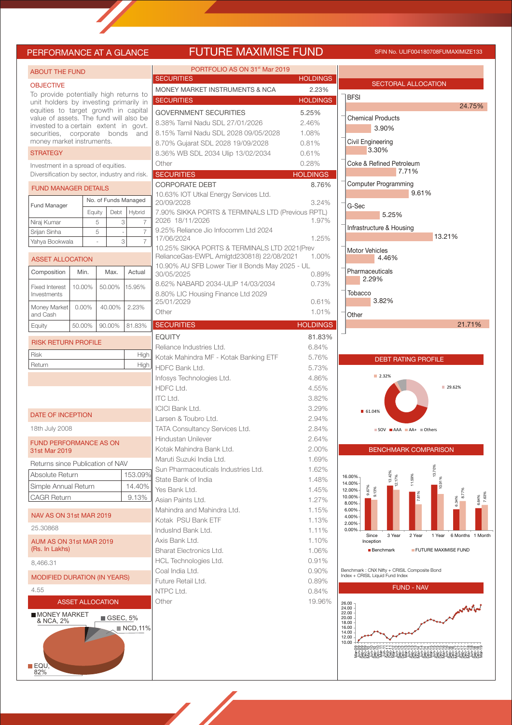## PERFORMANCE AT A GLANCE **FUTURE MAXIMISE FUND** SFIN NO. ULIF004180708FUMAXIMIZE133

| <b>ABOUT THE FUND</b>                                                          |          |                         |                         |                        | <b>PORTFOLIO A</b>                                      |  |  |  |
|--------------------------------------------------------------------------------|----------|-------------------------|-------------------------|------------------------|---------------------------------------------------------|--|--|--|
| <b>OBJECTIVE</b>                                                               |          |                         |                         |                        | <b>SECURITIES</b><br><b>MONEY MARKET INSTRUI</b>        |  |  |  |
| To provide potentially high returns to                                         |          |                         |                         |                        | <b>SECURITIES</b>                                       |  |  |  |
| unit holders by investing primarily in<br>equities to target growth in capital |          |                         |                         |                        | <b>GOVERNMENT SECURIT</b>                               |  |  |  |
| value of assets. The fund will also be                                         |          |                         |                         |                        | 8.38% Tamil Nadu SDL 27                                 |  |  |  |
| invested to a certain extent in govt.<br>securities,                           |          | corporate               | bonds                   | and                    | 8.15% Tamil Nadu SDL 20                                 |  |  |  |
| money market instruments.                                                      |          |                         |                         |                        | 8.70% Gujarat SDL 2028                                  |  |  |  |
| <b>STRATEGY</b>                                                                |          |                         |                         |                        | 8.36% WB SDL 2034 Ulip                                  |  |  |  |
| Investment in a spread of equities.                                            |          |                         |                         |                        | Other                                                   |  |  |  |
| Diversification by sector, industry and risk.                                  |          |                         |                         |                        | <b>SECURITIES</b>                                       |  |  |  |
| <b>FUND MANAGER DETAILS</b>                                                    |          |                         |                         |                        | <b>CORPORATE DEBT</b>                                   |  |  |  |
|                                                                                |          |                         |                         | No. of Funds Managed   | 10.63% IOT Utkal Energy 9<br>20/09/2028                 |  |  |  |
| Fund Manager                                                                   |          | Equity                  | Debt                    | Hybrid                 | 7.90% SIKKA PORTS & TE                                  |  |  |  |
| Niraj Kumar                                                                    |          | 5                       |                         | 3<br>7                 | 2026 18/11/2026                                         |  |  |  |
| Srijan Sinha                                                                   |          | 5                       |                         | 7                      | 9.25% Reliance Jio Infocor<br>17/06/2024                |  |  |  |
| Yahya Bookwala                                                                 |          |                         |                         | 3<br>7                 | 10.25% SIKKA PORTS & 1                                  |  |  |  |
| <b>ASSET ALLOCATION</b>                                                        |          |                         |                         |                        | RelianceGas-EWPL Amlgto                                 |  |  |  |
| Composition                                                                    | Min.     |                         | Max.                    | Actual                 | 10.90% AU SFB Lower Tie<br>30/05/2025                   |  |  |  |
| <b>Fixed Interest</b>                                                          | 10.00%   |                         | 50.00%                  | 15.95%                 | 8.62% NABARD 2034-ULI                                   |  |  |  |
| Investments                                                                    |          |                         |                         |                        | 8.80% LIC Housing Finand                                |  |  |  |
| Money Market                                                                   | $0.00\%$ |                         | 40.00%                  | 2.23%                  | 25/01/2029<br>Other                                     |  |  |  |
| and Cash                                                                       |          |                         |                         |                        |                                                         |  |  |  |
| Equity                                                                         | 50.00%   |                         | 90.00%                  | 81.83%                 | <b>SECURITIES</b>                                       |  |  |  |
| <b>RISK RETURN PROFILE</b>                                                     |          |                         |                         |                        | <b>EQUITY</b>                                           |  |  |  |
| Risk                                                                           |          |                         |                         | High                   | Reliance Industries Ltd.<br>Kotak Mahindra MF - Kota    |  |  |  |
| Return                                                                         |          |                         |                         | High                   | <b>HDFC Bank Ltd.</b>                                   |  |  |  |
|                                                                                |          |                         |                         |                        | Infosys Technologies Ltd.                               |  |  |  |
|                                                                                |          |                         |                         |                        | HDFC Ltd.                                               |  |  |  |
|                                                                                |          |                         |                         |                        | <b>ITC Ltd.</b>                                         |  |  |  |
| DATE OF INCEPTION                                                              |          |                         |                         |                        | <b>ICICI Bank Ltd.</b>                                  |  |  |  |
| 18th July 2008                                                                 |          |                         |                         |                        | Larsen & Toubro Ltd.<br><b>TATA Consultancy Service</b> |  |  |  |
|                                                                                |          |                         |                         |                        | <b>Hindustan Unilever</b>                               |  |  |  |
| <b>FUND PERFORMANCE AS ON</b><br>31st Mar 2019                                 |          |                         |                         |                        | Kotak Mahindra Bank Ltd.                                |  |  |  |
| Returns since Publication of NAV                                               |          |                         |                         |                        | Maruti Suzuki India Ltd.                                |  |  |  |
| Absolute Return                                                                |          |                         |                         | 153.09%                | Sun Pharmaceuticals Indu                                |  |  |  |
| Simple Annual Return                                                           |          |                         |                         | 14.40%                 | State Bank of India                                     |  |  |  |
| CAGR Return                                                                    |          |                         |                         | 9.13%                  | Yes Bank Ltd.                                           |  |  |  |
|                                                                                |          |                         |                         |                        | Asian Paints Ltd.<br>Mahindra and Mahindra Lt           |  |  |  |
| NAV AS ON 31st MAR 2019                                                        |          |                         |                         |                        | Kotak PSU Bank ETF                                      |  |  |  |
| 25.30868                                                                       |          |                         |                         |                        | IndusInd Bank Ltd.                                      |  |  |  |
| AUM AS ON 31st MAR 2019                                                        |          |                         |                         |                        | Axis Bank Ltd.                                          |  |  |  |
| (Rs. In Lakhs)                                                                 |          |                         |                         |                        | Bharat Electronics Ltd.                                 |  |  |  |
| 8,466.31                                                                       |          |                         | HCL Technologies Ltd.   |                        |                                                         |  |  |  |
| MODIFIED DURATION (IN YEARS)                                                   |          |                         |                         |                        | Coal India Ltd.<br>Future Retail Ltd.                   |  |  |  |
| 4.55                                                                           |          |                         |                         |                        | NTPC Ltd.                                               |  |  |  |
|                                                                                |          | <b>ASSET ALLOCATION</b> |                         |                        | Other                                                   |  |  |  |
| <b>MONEY MARKET</b>                                                            |          |                         | $\blacksquare$ GSEC, 5% |                        |                                                         |  |  |  |
| & NCA, 2%                                                                      |          |                         |                         | $\blacksquare$ NCD,11% |                                                         |  |  |  |
|                                                                                |          |                         |                         |                        |                                                         |  |  |  |
|                                                                                |          |                         |                         |                        |                                                         |  |  |  |
|                                                                                |          |                         |                         |                        |                                                         |  |  |  |
| <b>EQU.</b>                                                                    |          |                         |                         |                        |                                                         |  |  |  |

82%

| PORTFOLIO AS ON 31 <sup>st</sup> Mar 2019          |                 |   |
|----------------------------------------------------|-----------------|---|
| <b>SECURITIES</b>                                  | <b>HOLDINGS</b> |   |
| MONEY MARKET INSTRUMENTS & NCA                     | 2.23%           |   |
| <b>SECURITIES</b>                                  | <b>HOLDINGS</b> |   |
| <b>GOVERNMENT SECURITIES</b>                       | 5.25%           |   |
| 8.38% Tamil Nadu SDL 27/01/2026                    | 2.46%           | ł |
| 8.15% Tamil Nadu SDL 2028 09/05/2028               | 1.08%           |   |
| 8.70% Gujarat SDL 2028 19/09/2028                  | 0.81%           | ł |
| 8.36% WB SDL 2034 Ulip 13/02/2034                  | 0.61%           |   |
| Other                                              | 0.28%           | ł |
| <b>SECURITIES</b>                                  | <b>HOLDINGS</b> |   |
| <b>CORPORATE DEBT</b>                              | 8.76%           |   |
| 10.63% IOT Utkal Energy Services Ltd.              |                 |   |
| 20/09/2028                                         | 3.24%           | ł |
| 7.90% SIKKA PORTS & TERMINALS LTD (Previous RPTL)  |                 |   |
| 2026 18/11/2026                                    | 1.97%           | ł |
| 9.25% Reliance Jio Infocomm Ltd 2024<br>17/06/2024 | 1.25%           |   |
| 10.25% SIKKA PORTS & TERMINALS LTD 2021(Prev       |                 | ł |
| RelianceGas-EWPL Amlgtd230818) 22/08/2021          | 1.00%           |   |
| 10.90% AU SFB Lower Tier II Bonds May 2025 - UL    |                 | ł |
| 30/05/2025                                         | 0.89%           |   |
| 8.62% NABARD 2034-ULIP 14/03/2034                  | 0.73%           |   |
| 8.80% LIC Housing Finance Ltd 2029                 |                 |   |
| 25/01/2029                                         | 0.61%           |   |
| Other                                              | 1.01%           | ł |
| <b>SECURITIES</b>                                  | <b>HOLDINGS</b> |   |
| <b>EQUITY</b>                                      | 81.83%          |   |
| Reliance Industries Ltd.                           | 6.84%           |   |
| Kotak Mahindra MF - Kotak Banking ETF              | 5.76%           |   |
| HDFC Bank Ltd.                                     | 5.73%           |   |
| Infosys Technologies Ltd.                          | 4.86%           |   |
| HDFC Ltd.                                          | 4.55%           |   |
| <b>ITC Ltd.</b>                                    | 3.82%           |   |
| <b>ICICI Bank Ltd.</b>                             | 3.29%           |   |
| Larsen & Toubro Ltd.                               | 2.94%           |   |
| TATA Consultancy Services Ltd.                     | 2.84%           |   |
| <b>Hindustan Unilever</b>                          | 2.64%           |   |
| Kotak Mahindra Bank Ltd.                           | 2.00%           |   |
| Maruti Suzuki India Ltd.                           | 1.69%           |   |
| Sun Pharmaceuticals Industries Ltd.                | 1.62%           |   |
| State Bank of India                                | 1.48%           |   |
| Yes Bank Ltd.                                      | 1.45%           |   |
| Asian Paints Ltd.                                  | 1.27%           |   |
| Mahindra and Mahindra Ltd.                         | 1.15%           |   |
| Kotak PSU Bank ETF                                 | 1.13%           |   |
| IndusInd Bank Ltd.                                 | 1.11%           |   |
| Axis Bank Ltd.                                     | 1.10%           |   |
| <b>Bharat Electronics Ltd.</b>                     | 1.06%           |   |
| HCL Technologies Ltd.                              | 0.91%           |   |
| Coal India Ltd.                                    | 0.90%           |   |
| Future Retail Ltd.                                 | 0.89%           |   |
| NTPC Ltd.                                          | 0.84%           |   |
| Other                                              | 19.96%          |   |
|                                                    |                 |   |
|                                                    |                 |   |
|                                                    |                 |   |
|                                                    |                 |   |
|                                                    |                 |   |

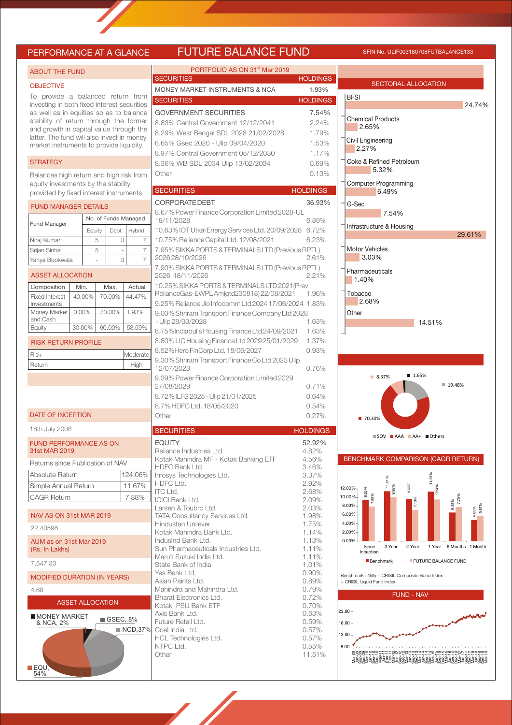## PERFORMANCE AT A GLANCE FUTURE BALANCE FUND SFIN NO. ULIF003180708FUTBALANCE133

| <b>ABOUT THE FUND</b>                                                             |                         |                |                         | PORTFOLIO AS ON 31 <sup>st</sup> Mar 2019                            |                 |                                   |
|-----------------------------------------------------------------------------------|-------------------------|----------------|-------------------------|----------------------------------------------------------------------|-----------------|-----------------------------------|
|                                                                                   |                         |                |                         | <b>SECURITIES</b>                                                    | <b>HOLDINGS</b> |                                   |
| <b>OBJECTIVE</b>                                                                  |                         |                |                         | MONEY MARKET INSTRUMENTS & NCA                                       | 1.93%           | <b>SECTOR</b>                     |
| To provide a balanced return from                                                 |                         |                |                         | <b>SECURITIES</b>                                                    | <b>HOLDINGS</b> | <b>BFSI</b>                       |
| investing in both fixed interest securities                                       |                         |                |                         |                                                                      |                 |                                   |
| as well as in equities so as to balance<br>stability of return through the former |                         |                |                         | <b>GOVERNMENT SECURITIES</b>                                         | 7.54%           | <b>Chemical Product</b>           |
| and growth in capital value through the                                           |                         |                |                         | 8.83% Central Government 12/12/2041                                  | 2.24%           | 2.65%                             |
| latter. The fund will also invest in money                                        |                         |                |                         | 8.29% West Bengal SDL 2028 21/02/2028                                | 1.79%           | Civil Engineering                 |
| market instruments to provide liquidity.                                          |                         |                |                         | 6.65% Gsec 2020 - Ulip 09/04/2020                                    | 1.53%           | 2.27%                             |
|                                                                                   |                         |                |                         | 8.97% Central Government 05/12/2030                                  | 1.17%           |                                   |
| <b>STRATEGY</b>                                                                   |                         |                |                         | 8.36% WB SDL 2034 Ulip 13/02/2034                                    | 0.69%           | Coke & Refined Pe                 |
| Balances high return and high risk from                                           |                         |                |                         | Other                                                                | 0.13%           | 5.32%                             |
| equity investments by the stability                                               |                         |                |                         |                                                                      |                 | <b>Computer Prograr</b>           |
| provided by fixed interest instruments.                                           |                         |                |                         | <b>SECURITIES</b>                                                    | <b>HOLDINGS</b> | 6.49%                             |
| <b>FUND MANAGER DETAILS</b>                                                       |                         |                |                         | <b>CORPORATE DEBT</b>                                                | 36.93%          | G-Sec                             |
|                                                                                   |                         |                |                         | 8.67% Power Finance Corporation Limited 2028-UL                      |                 | 7.54                              |
| Fund Manager                                                                      |                         |                | No. of Funds Managed    | 18/11/2028                                                           | 6.89%           | Infrastructure & Ho               |
|                                                                                   |                         | Debt<br>Equity | Hybrid                  | 10.63% IOT Utkal Energy Services Ltd. 20/09/2028 6.72%               |                 |                                   |
| Niraj Kumar                                                                       |                         | 5              | 3                       | 10.75% Reliance Capital Ltd. 12/08/2021<br>$\overline{7}$            | 6.23%           |                                   |
| Srijan Sinha                                                                      |                         | 5              |                         | 7.95% SIKKA PORTS & TERMINALS LTD (Previous RPTL)<br>$\overline{7}$  |                 | <b>Motor Vehicles</b><br>3.03%    |
| Yahya Bookwala                                                                    |                         |                | 3                       | 202628/10/2026<br>$\overline{7}$                                     | 2.61%           |                                   |
| <b>ASSET ALLOCATION</b>                                                           |                         |                |                         | 7.90% SIKKA PORTS & TERMINALS LTD (Previous RPTL)<br>2026 18/11/2026 | 2.21%           | Pharmaceuticals                   |
|                                                                                   |                         |                |                         | 10.25% SIKKA PORTS & TERMINALS LTD 2021 (Prev                        |                 | 1.40%                             |
| Composition                                                                       | Min.                    | Max.           | Actual                  | RelianceGas-EWPLAmIgtd230818)22/08/2021                              | 1.96%           | Tobacco                           |
| <b>Fixed Interest</b><br>Investments                                              | 40.00%                  | 70.00%         | 44.47%                  | 9.25% Reliance Jio Infocomm Ltd 2024 17/06/2024 1.83%                |                 | 2.68%                             |
| Money Market                                                                      | $0.00\%$                | 30.00%         | 1.93%                   | 9.00% Shriram Transport Finance Company Ltd 2028                     |                 | Other                             |
| and Cash                                                                          |                         |                |                         | - Ulip 28/03/2028                                                    | 1.63%           |                                   |
| Equity                                                                            | 30.00%                  | 60.00%         | 53.59%                  | 8.75%Indiabulls Housing Finance Ltd 24/09/2021                       | 1.63%           |                                   |
| <b>RISK RETURN PROFILE</b>                                                        |                         |                |                         | 8.80% LIC Housing Finance Ltd 2029 25/01/2029                        | 1.37%           |                                   |
|                                                                                   |                         |                |                         | 8.52%Hero FinCorp Ltd. 18/06/2027                                    | 0.93%           |                                   |
| Risk                                                                              |                         |                | Moderate                | 9.30% Shriram Transport Finance Co Ltd 2023 Ulip                     |                 |                                   |
| Return                                                                            |                         |                | High                    | 12/07/2023                                                           | 0.76%           |                                   |
|                                                                                   |                         |                |                         | 9.39% Power Finance Corporation Limited 2029                         |                 | 8.57%                             |
|                                                                                   |                         |                |                         | 27/08/2029                                                           | 0.71%           |                                   |
|                                                                                   |                         |                |                         | 8.72% ILFS 2025 - Ulip 21/01/2025                                    | 0.64%           |                                   |
|                                                                                   |                         |                |                         | 8.7% HDFC Ltd. 18/05/2020                                            | 0.54%           |                                   |
| <b>DATE OF INCEPTION</b>                                                          |                         |                |                         | Other                                                                | 0.27%           | ■ 70.30%                          |
| 18th July 2008                                                                    |                         |                |                         | <b>SECURITIES</b>                                                    | <b>HOLDINGS</b> |                                   |
|                                                                                   |                         |                |                         |                                                                      |                 | $\blacksquare$ SOV $\blacksquare$ |
| <b>FUND PERFORMANCE AS ON</b><br>31st MAR 2019                                    |                         |                |                         | <b>EQUITY</b><br>Reliance Industries Ltd.                            | 52.92%<br>4.82% |                                   |
|                                                                                   |                         |                |                         | Kotak Mahindra MF - Kotak Banking ETF                                | 4.56%           | <b>BENCHMARK COI</b>              |
| Returns since Publication of NAV                                                  |                         |                |                         | HDFC Bank Ltd.                                                       | 3.46%           |                                   |
| Absolute Return                                                                   |                         |                | 124.06%                 | Infosys Technologies Ltd.                                            | 3.37%           |                                   |
| Simple Annual Return                                                              |                         |                | 11.67%                  | HDFC Ltd.                                                            | 2.92%           | 12.00%                            |
| <b>CAGR Return</b>                                                                |                         |                | 7.88%                   | ITC Ltd.<br><b>ICICI Bank Ltd.</b>                                   | 2.68%<br>2.09%  | 9.35%<br>7.88%<br>10.00%          |
|                                                                                   |                         |                |                         | Larsen & Toubro Ltd.                                                 | 2.03%           | 8.00%                             |
| NAV AS ON 31st MAR 2019                                                           |                         |                |                         | TATA Consultancy Services Ltd.                                       | 1.98%           | 6.00%                             |
| 22.40596                                                                          |                         |                |                         | Hindustan Unilever                                                   | 1.75%           | 4.00%                             |
|                                                                                   |                         |                |                         | Kotak Mahindra Bank Ltd.<br>IndusInd Bank Ltd.                       | 1.14%           | 2.00%<br>0.00%                    |
| AUM as on 31st Mar 2019<br>(Rs. In Lakhs)                                         |                         |                |                         | Sun Pharmaceuticals Industries Ltd.                                  | 1.13%<br>1.11%  | Since                             |
|                                                                                   |                         |                |                         | Maruti Suzuki India Ltd.                                             | 1.11%           | Inception                         |
| 7,547.33                                                                          |                         |                |                         | State Bank of India                                                  | 1.01%           | <b>Benchmark</b>                  |
| <b>MODIFIED DURATION (IN YEARS)</b>                                               |                         |                |                         | Yes Bank Ltd.                                                        | 0.90%           | Benchmark: Nifty + CRISIL         |
|                                                                                   |                         |                |                         | Asian Paints Ltd.                                                    | 0.89%           | + CRISIL Liquid Fund Index        |
| 4.68                                                                              |                         |                |                         | Mahindra and Mahindra Ltd.<br><b>Bharat Electronics Ltd.</b>         | 0.79%<br>0.72%  |                                   |
|                                                                                   | <b>ASSET ALLOCATION</b> |                |                         | Kotak PSU Bank ETF                                                   | 0.70%           |                                   |
| <b>MONEY MARKET</b>                                                               |                         |                |                         | Axis Bank Ltd.                                                       | 0.63%           | 23.00                             |
| & NCA, 2%                                                                         |                         |                | $\blacksquare$ GSEC, 8% | Future Retail Ltd.                                                   | 0.59%           | 18.00                             |
|                                                                                   |                         |                | ■ NCD,37%               | Coal India Ltd.                                                      | 0.57%           | 13.00                             |
|                                                                                   |                         |                |                         | HCL Technologies Ltd.<br>NTPC Ltd.                                   | 0.57%<br>0.55%  | 8.00                              |
|                                                                                   |                         |                |                         | Other                                                                | 11.51%          |                                   |
|                                                                                   |                         |                |                         |                                                                      |                 |                                   |
| EQU,<br>54%                                                                       |                         |                |                         |                                                                      |                 |                                   |
|                                                                                   |                         |                |                         |                                                                      |                 |                                   |



.<br>Composite Bond Index

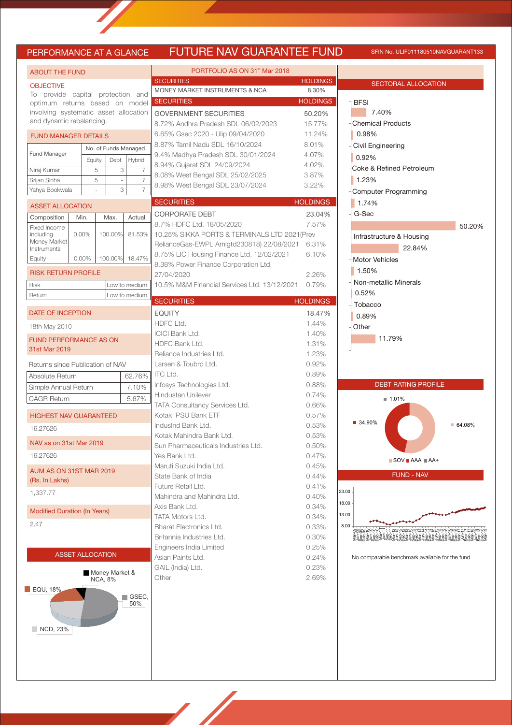# PERFORMANCE AT A GLANCE FUTURE NAV GUARANTEE FUND SFIN NO. ULIF011180510NAVGUARANT133

**HOLDINGS** 18.47%  $1.44%$ 1.40% 1.31% Reliance Industries Ltd. 1.23% 0.92% 0.89%  $0.88%$ 

**HOLDINGS** 23.04% 7.57%

**HOLDINGS** 50.20% 15.77% 11.24% 8.01% 4.07% 4.02% 3.87%  $3.22%$ 

HOLDINGS<br>8.30%

| To provide capital protection and<br>optimum returns based on model<br>involving systematic asset allocation<br>and dynamic rebalancing.<br><b>FUND MANAGER DETAILS</b><br>No. of Funds Managed<br>Equity<br>5<br>5<br><b>ASSET ALLOCATION</b><br>Min.<br>$0.00\%$<br>100.00%<br>$0.00\%$<br><b>RISK RETURN PROFILE</b> | Debt<br>3<br>$\overline{\phantom{a}}$<br>3<br>Max. | Hybrid<br>7<br>7<br>7                                                                                                                 | <b>SECURITIES</b><br>MONEY MARKET INSTRUMENTS & NCA<br><b>SECURITIES</b><br><b>GOVERNMENT SECURITIES</b><br>8.72% Andhra Pradesh SDL 06/02/2023<br>6.65% Gsec 2020 - Ulip 09/04/2020<br>8.87% Tamil Nadu SDL 16/10/2024<br>9.4% Madhya Pradesh SDL 30/01/2024<br>8.94% Gujarat SDL 24/09/2024<br>8.08% West Bengal SDL 25/02/2025<br>8.98% West Bengal SDL 23/07/2024 | <b>HOLDING</b><br>8.30%<br>8.01%<br>4.07%<br>4.02%                                                                                                                               |
|-------------------------------------------------------------------------------------------------------------------------------------------------------------------------------------------------------------------------------------------------------------------------------------------------------------------------|----------------------------------------------------|---------------------------------------------------------------------------------------------------------------------------------------|-----------------------------------------------------------------------------------------------------------------------------------------------------------------------------------------------------------------------------------------------------------------------------------------------------------------------------------------------------------------------|----------------------------------------------------------------------------------------------------------------------------------------------------------------------------------|
|                                                                                                                                                                                                                                                                                                                         |                                                    |                                                                                                                                       |                                                                                                                                                                                                                                                                                                                                                                       | <b>HOLDING</b><br>50.20%<br>15.77%<br>11.24%                                                                                                                                     |
|                                                                                                                                                                                                                                                                                                                         |                                                    |                                                                                                                                       |                                                                                                                                                                                                                                                                                                                                                                       |                                                                                                                                                                                  |
|                                                                                                                                                                                                                                                                                                                         |                                                    |                                                                                                                                       |                                                                                                                                                                                                                                                                                                                                                                       |                                                                                                                                                                                  |
|                                                                                                                                                                                                                                                                                                                         |                                                    |                                                                                                                                       |                                                                                                                                                                                                                                                                                                                                                                       |                                                                                                                                                                                  |
|                                                                                                                                                                                                                                                                                                                         |                                                    |                                                                                                                                       |                                                                                                                                                                                                                                                                                                                                                                       |                                                                                                                                                                                  |
|                                                                                                                                                                                                                                                                                                                         |                                                    |                                                                                                                                       |                                                                                                                                                                                                                                                                                                                                                                       |                                                                                                                                                                                  |
|                                                                                                                                                                                                                                                                                                                         |                                                    |                                                                                                                                       |                                                                                                                                                                                                                                                                                                                                                                       |                                                                                                                                                                                  |
|                                                                                                                                                                                                                                                                                                                         |                                                    |                                                                                                                                       |                                                                                                                                                                                                                                                                                                                                                                       |                                                                                                                                                                                  |
|                                                                                                                                                                                                                                                                                                                         |                                                    |                                                                                                                                       |                                                                                                                                                                                                                                                                                                                                                                       | 3.87%                                                                                                                                                                            |
|                                                                                                                                                                                                                                                                                                                         |                                                    |                                                                                                                                       |                                                                                                                                                                                                                                                                                                                                                                       | 3.22%                                                                                                                                                                            |
|                                                                                                                                                                                                                                                                                                                         |                                                    |                                                                                                                                       | <b>SECURITIES</b>                                                                                                                                                                                                                                                                                                                                                     | <b>HOLDINGS</b>                                                                                                                                                                  |
|                                                                                                                                                                                                                                                                                                                         |                                                    |                                                                                                                                       | <b>CORPORATE DEBT</b>                                                                                                                                                                                                                                                                                                                                                 | 23.049                                                                                                                                                                           |
|                                                                                                                                                                                                                                                                                                                         |                                                    | Actual                                                                                                                                | 8.7% HDFC Ltd. 18/05/2020                                                                                                                                                                                                                                                                                                                                             | 7.57%                                                                                                                                                                            |
|                                                                                                                                                                                                                                                                                                                         |                                                    | 81.53%                                                                                                                                | 10.25% SIKKA PORTS & TERMINALS LTD 2021(Prev                                                                                                                                                                                                                                                                                                                          |                                                                                                                                                                                  |
|                                                                                                                                                                                                                                                                                                                         |                                                    |                                                                                                                                       | RelianceGas-EWPL Amlgtd230818) 22/08/2021                                                                                                                                                                                                                                                                                                                             | 6.31%                                                                                                                                                                            |
|                                                                                                                                                                                                                                                                                                                         | 100.00%                                            | 18.47%                                                                                                                                | 8.75% LIC Housing Finance Ltd. 12/02/2021                                                                                                                                                                                                                                                                                                                             | 6.10%                                                                                                                                                                            |
|                                                                                                                                                                                                                                                                                                                         |                                                    |                                                                                                                                       | 8.38% Power Finance Corporation Ltd.                                                                                                                                                                                                                                                                                                                                  |                                                                                                                                                                                  |
|                                                                                                                                                                                                                                                                                                                         |                                                    |                                                                                                                                       | 27/04/2020<br>10.5% M&M Financial Services Ltd. 13/12/2021                                                                                                                                                                                                                                                                                                            | 2.26%<br>0.79%                                                                                                                                                                   |
|                                                                                                                                                                                                                                                                                                                         |                                                    | Low to medium<br>Low to medium                                                                                                        |                                                                                                                                                                                                                                                                                                                                                                       |                                                                                                                                                                                  |
|                                                                                                                                                                                                                                                                                                                         |                                                    |                                                                                                                                       | <b>SECURITIES</b>                                                                                                                                                                                                                                                                                                                                                     | <b>HOLDINGS</b>                                                                                                                                                                  |
| <b>DATE OF INCEPTION</b>                                                                                                                                                                                                                                                                                                |                                                    |                                                                                                                                       | <b>EQUITY</b>                                                                                                                                                                                                                                                                                                                                                         | 18.479                                                                                                                                                                           |
|                                                                                                                                                                                                                                                                                                                         |                                                    |                                                                                                                                       | HDFC Ltd.                                                                                                                                                                                                                                                                                                                                                             | 1.44%                                                                                                                                                                            |
| <b>FUND PERFORMANCE AS ON</b>                                                                                                                                                                                                                                                                                           |                                                    |                                                                                                                                       | <b>ICICI Bank Ltd.</b>                                                                                                                                                                                                                                                                                                                                                | 1.40%                                                                                                                                                                            |
|                                                                                                                                                                                                                                                                                                                         |                                                    |                                                                                                                                       | HDFC Bank Ltd.<br>Reliance Industries Ltd.                                                                                                                                                                                                                                                                                                                            | 1.31%                                                                                                                                                                            |
|                                                                                                                                                                                                                                                                                                                         |                                                    |                                                                                                                                       | Larsen & Toubro Ltd.                                                                                                                                                                                                                                                                                                                                                  | 1.23%<br>0.92%                                                                                                                                                                   |
|                                                                                                                                                                                                                                                                                                                         |                                                    |                                                                                                                                       |                                                                                                                                                                                                                                                                                                                                                                       | 0.89%                                                                                                                                                                            |
|                                                                                                                                                                                                                                                                                                                         |                                                    |                                                                                                                                       |                                                                                                                                                                                                                                                                                                                                                                       | 0.88%                                                                                                                                                                            |
|                                                                                                                                                                                                                                                                                                                         |                                                    |                                                                                                                                       | Hindustan Unilever                                                                                                                                                                                                                                                                                                                                                    | 0.74%                                                                                                                                                                            |
|                                                                                                                                                                                                                                                                                                                         |                                                    |                                                                                                                                       | TATA Consultancy Services Ltd.                                                                                                                                                                                                                                                                                                                                        | 0.66%                                                                                                                                                                            |
|                                                                                                                                                                                                                                                                                                                         |                                                    |                                                                                                                                       | Kotak PSU Bank ETF                                                                                                                                                                                                                                                                                                                                                    | 0.57%                                                                                                                                                                            |
|                                                                                                                                                                                                                                                                                                                         |                                                    |                                                                                                                                       | IndusInd Bank Ltd.                                                                                                                                                                                                                                                                                                                                                    | 0.53%                                                                                                                                                                            |
|                                                                                                                                                                                                                                                                                                                         |                                                    |                                                                                                                                       | Kotak Mahindra Bank Ltd.                                                                                                                                                                                                                                                                                                                                              | 0.53%                                                                                                                                                                            |
|                                                                                                                                                                                                                                                                                                                         |                                                    |                                                                                                                                       |                                                                                                                                                                                                                                                                                                                                                                       | 0.50%                                                                                                                                                                            |
|                                                                                                                                                                                                                                                                                                                         |                                                    |                                                                                                                                       |                                                                                                                                                                                                                                                                                                                                                                       | 0.47%                                                                                                                                                                            |
|                                                                                                                                                                                                                                                                                                                         |                                                    |                                                                                                                                       |                                                                                                                                                                                                                                                                                                                                                                       | 0.45%<br>0.44%                                                                                                                                                                   |
|                                                                                                                                                                                                                                                                                                                         |                                                    |                                                                                                                                       |                                                                                                                                                                                                                                                                                                                                                                       | 0.41%                                                                                                                                                                            |
|                                                                                                                                                                                                                                                                                                                         |                                                    |                                                                                                                                       | Mahindra and Mahindra Ltd.                                                                                                                                                                                                                                                                                                                                            | 0.40%                                                                                                                                                                            |
|                                                                                                                                                                                                                                                                                                                         |                                                    |                                                                                                                                       | Axis Bank Ltd.                                                                                                                                                                                                                                                                                                                                                        | 0.34%                                                                                                                                                                            |
|                                                                                                                                                                                                                                                                                                                         |                                                    |                                                                                                                                       | <b>TATA Motors Ltd.</b>                                                                                                                                                                                                                                                                                                                                               | 0.34%                                                                                                                                                                            |
|                                                                                                                                                                                                                                                                                                                         |                                                    |                                                                                                                                       | <b>Bharat Electronics Ltd.</b>                                                                                                                                                                                                                                                                                                                                        | 0.33%                                                                                                                                                                            |
|                                                                                                                                                                                                                                                                                                                         |                                                    |                                                                                                                                       | Britannia Industries Ltd.                                                                                                                                                                                                                                                                                                                                             | 0.30%                                                                                                                                                                            |
|                                                                                                                                                                                                                                                                                                                         |                                                    |                                                                                                                                       | Engineers India Limited                                                                                                                                                                                                                                                                                                                                               | 0.25%                                                                                                                                                                            |
|                                                                                                                                                                                                                                                                                                                         |                                                    |                                                                                                                                       | Asian Paints Ltd.                                                                                                                                                                                                                                                                                                                                                     | 0.24%                                                                                                                                                                            |
|                                                                                                                                                                                                                                                                                                                         |                                                    |                                                                                                                                       | GAIL (India) Ltd.                                                                                                                                                                                                                                                                                                                                                     | 0.23%                                                                                                                                                                            |
|                                                                                                                                                                                                                                                                                                                         |                                                    |                                                                                                                                       | Other                                                                                                                                                                                                                                                                                                                                                                 | 2.69%                                                                                                                                                                            |
|                                                                                                                                                                                                                                                                                                                         |                                                    | 50%                                                                                                                                   |                                                                                                                                                                                                                                                                                                                                                                       |                                                                                                                                                                                  |
|                                                                                                                                                                                                                                                                                                                         | Simple Annual Return<br>NAV as on 31st Mar 2019    | <b>HIGHEST NAV GUARANTEED</b><br>AUM AS ON 31ST MAR 2019<br><b>Modified Duration (In Years)</b><br><b>ASSET ALLOCATION</b><br>NCA, 8% | Returns since Publication of NAV<br>7.10%<br>5.67%<br>Money Market &<br>$\blacksquare$ GSEC,                                                                                                                                                                                                                                                                          | ITC Ltd.<br>62.76%<br>Infosys Technologies Ltd.<br>Sun Pharmaceuticals Industries Ltd.<br>Yes Bank Ltd.<br>Maruti Suzuki India Ltd.<br>State Bank of India<br>Future Retail Ltd. |

| SECTORAL ALLOCATION                                                                                                                                                                                                                                                                                                     |
|-------------------------------------------------------------------------------------------------------------------------------------------------------------------------------------------------------------------------------------------------------------------------------------------------------------------------|
| <b>BFSI</b><br>7.40%<br>Chemical Products<br>0.98%<br>Civil Engineering<br>$ 0.92\%$<br>Coke & Refined Petroleum<br>1.23%<br>Computer Programming<br>1.74%<br>G-Sec<br>50.20%<br>Infrastructure & Housing<br>22.84%<br>Motor Vehicles<br>1.50%<br>Non-metallic Minerals<br>0.52%<br>Tobacco<br>0.89%<br>Other<br>11.79% |
| <b>DEBT RATING PROFILE</b>                                                                                                                                                                                                                                                                                              |
| ■ 1.01%<br>34.90%<br>64.08%<br>$\blacksquare$ SOV $\blacksquare$ AAA $\blacksquare$ AA+                                                                                                                                                                                                                                 |
| <b>FUND - NAV</b>                                                                                                                                                                                                                                                                                                       |
| 23.00                                                                                                                                                                                                                                                                                                                   |
| 18.00<br>13.00<br>8.00<br>8888                                                                                                                                                                                                                                                                                          |
| No comparable benchmark available for the fund                                                                                                                                                                                                                                                                          |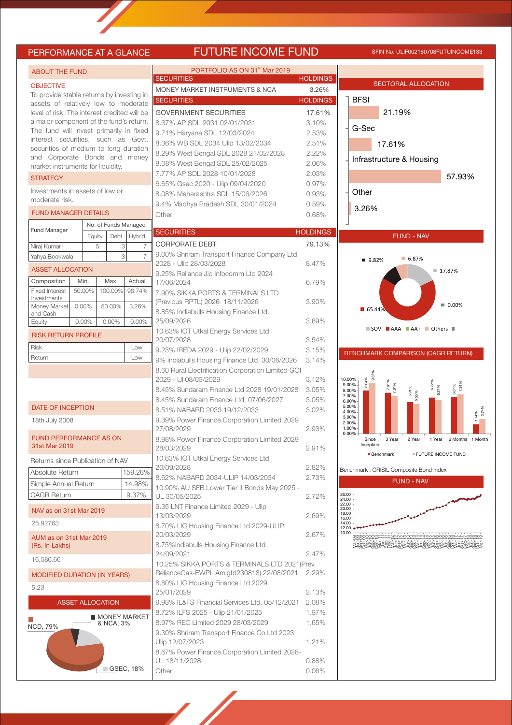# PERFORMANCE AT A GLANCE FUTURE INCOME FUND SFIN NO. ULIF002180708FUTUINCOME133

| <b>ABOUT THE FUND</b>                                                              |             |           |                          | PORTFOLIO AS ON 31 <sup>st</sup> Mar 2019<br><b>SECURITIES</b>        |                 |                                                                                               |
|------------------------------------------------------------------------------------|-------------|-----------|--------------------------|-----------------------------------------------------------------------|-----------------|-----------------------------------------------------------------------------------------------|
| <b>OBJECTIVE</b>                                                                   |             |           |                          |                                                                       | <b>HOLDINGS</b> | <b>SECTORAL ALLOCATION</b>                                                                    |
| To provide stable returns by investing in                                          |             |           |                          | MONEY MARKET INSTRUMENTS & NCA                                        | 3.26%           | <b>BFSI</b>                                                                                   |
| assets of relatively low to moderate                                               |             |           |                          | <b>SECURITIES</b>                                                     | <b>HOLDINGS</b> |                                                                                               |
| level of risk. The interest credited will be                                       |             |           |                          | <b>GOVERNMENT SECURITIES</b>                                          | 17.61%          | 21.19%                                                                                        |
| a major component of the fund's return.<br>The fund will invest primarily in fixed |             |           |                          | 8.37% AP SDL 2031 02/01/2031                                          | 3.10%           | G-Sec                                                                                         |
| interest securities, such as Govt.                                                 |             |           |                          | 9.71% Haryana SDL 12/03/2024                                          | 2.53%           |                                                                                               |
| securities of medium to long duration                                              |             |           |                          | 8.36% WB SDL 2034 Ulip 13/02/2034                                     | 2.51%           | 17.61%                                                                                        |
| and Corporate Bonds and money                                                      |             |           |                          | 8.29% West Bengal SDL 2028 21/02/2028                                 | 2.22%           | Infrastructure & Housing                                                                      |
| market instruments for liquidity.                                                  |             |           |                          | 8.08% West Bengal SDL 25/02/2025                                      | 2.06%           |                                                                                               |
| <b>STRATEGY</b>                                                                    |             |           |                          | 7.77% AP SDL 2028 10/01/2028                                          | 2.03%           | 57.93%                                                                                        |
| Investments in assets of low or                                                    |             |           |                          | 6.65% Gsec 2020 - Ulip 09/04/2020<br>8.08% Maharashtra SDL 15/06/2026 | 0.97%<br>0.93%  | Other                                                                                         |
| moderate risk.                                                                     |             |           |                          | 9.4% Madhya Pradesh SDL 30/01/2024                                    | 0.59%           |                                                                                               |
| <b>FUND MANAGER DETAILS</b>                                                        |             |           |                          | Other                                                                 | 0.68%           | 3.26%                                                                                         |
|                                                                                    |             |           | No. of Funds Managed     |                                                                       |                 |                                                                                               |
| <b>Fund Manager</b>                                                                |             | Debt      |                          | <b>SECURITIES</b>                                                     | <b>HOLDINGS</b> | <b>FUND - NAV</b>                                                                             |
| Niraj Kumar                                                                        | Equity<br>5 | 3         | Hybrid<br>$\overline{7}$ | <b>CORPORATE DEBT</b>                                                 | 79.13%          |                                                                                               |
| Yahya Bookwala                                                                     |             | 3         | $\overline{7}$           | 9.00% Shriram Transport Finance Company Ltd                           |                 |                                                                                               |
|                                                                                    |             |           |                          | 2028 - Ulip 28/03/2028                                                | 8.47%           | 6.87%<br>■ 9.82%                                                                              |
| <b>ASSET ALLOCATION</b>                                                            |             |           |                          | 9.25% Reliance Jio Infocomm Ltd 2024                                  |                 | 17.87%                                                                                        |
| Composition                                                                        | Min.        | Max.      | Actual                   | 17/06/2024                                                            | 6.79%           |                                                                                               |
| <b>Fixed Interest</b><br>Investments                                               | 50.00%      | 100.00%   | 96.74%                   | 7.90% SIKKA PORTS & TERMINALS LTD                                     |                 |                                                                                               |
| Money Market                                                                       | 0.00%       | 50.00%    | 3.26%                    | (Previous RPTL) 2026 18/11/2026                                       | 3.90%           | $\blacksquare$ 0.00%<br>$\blacksquare$ 65.44%                                                 |
| and Cash                                                                           |             |           |                          | 8.85% Indiabulls Housing Finance Ltd.                                 |                 |                                                                                               |
| Equity                                                                             | 0.00%       | 0.00%     | $0.00\%$                 | 25/09/2026                                                            | 3.69%           | $\blacksquare$ SOV $\blacksquare$ AAA $\blacksquare$ AA+ $\blacksquare$ Others $\blacksquare$ |
| <b>RISK RETURN PROFILE</b>                                                         |             |           |                          | 10.63% IOT Utkal Energy Services Ltd.<br>20/07/2028                   | 3.54%           |                                                                                               |
| Risk                                                                               |             |           | Low                      | 9.23% IREDA 2029 - Ulip 22/02/2029                                    | 3.15%           |                                                                                               |
| Return                                                                             |             |           | Low                      | 9% Indiabulls Housing Finance Ltd. 30/06/2026                         | 3.14%           | BENCHMARK COMPARISON (CAGR RETURN)                                                            |
|                                                                                    |             |           |                          | 8.60 Rural Electrification Corporation Limited GOI                    |                 |                                                                                               |
|                                                                                    |             |           |                          | 2029 - UI 08/03/2029                                                  | 3.12%           | 9.37%<br>10.00%                                                                               |
|                                                                                    |             |           |                          | 8.45% Sundaram Finance Ltd 2028 19/01/2028                            | 3.05%           | 8.04%<br>7.61%<br>6.72%<br>6.27%<br>7.34%<br>7.01%<br>9.00%<br>6.81%<br>5.91%<br>55%<br>8.00% |
|                                                                                    |             |           |                          | 8.45% Sundaram Finance Ltd. 07/06/2027                                | 3.05%           | 7.00%<br>6.00%                                                                                |
| <b>DATE OF INCEPTION</b>                                                           |             |           |                          | 8.51% NABARD 2033 19/12/2033                                          | 3.02%           | 5.00%<br>$1.74%$<br>2.74%<br>4.00%                                                            |
| 18th July 2008                                                                     |             |           |                          | 9.39% Power Finance Corporation Limited 2029                          |                 | 3.00%<br>2.00%                                                                                |
|                                                                                    |             |           |                          | 27/08/2029                                                            | 2.93%           | 1.00%<br>0.00%                                                                                |
| <b>FUND PERFORMANCE AS ON</b>                                                      |             |           |                          | 8.98% Power Finance Corporation Limited 2029                          |                 | 3 Year<br>2 Year<br>1 Year 6 Months 1 Month<br>Since<br>Inception                             |
| 31st Mar 2019                                                                      |             |           |                          | 28/03/2029                                                            | 2.91%           | <b>FUTURE INCOME FUND</b><br><b>Benchmark</b>                                                 |
| Returns since Publication of NAV                                                   |             |           |                          | 10.63% IOT Utkal Energy Services Ltd.                                 |                 |                                                                                               |
| Absolute Return                                                                    |             |           | 159.28%                  | 20/09/2028                                                            | 2.82%           | Benchmark : CRISIL Composite Bond Index                                                       |
| Simple Annual Return                                                               |             |           | 14.98%                   | 8.62% NABARD 2034-ULIP 14/03/2034                                     | 2.73%           | <b>FUND - NAV</b>                                                                             |
| <b>CAGR Return</b>                                                                 |             |           | 9.37%                    | 10.90% AU SFB Lower Tier II Bonds May 2025 -<br>UL 30/05/2025         | 2.72%           | 26.00                                                                                         |
|                                                                                    |             |           |                          | 9.35 LNT Finance Limited 2029 - Ulip                                  |                 | 24.00<br>22.00<br>20.00                                                                       |
| NAV as on 31st Mar 2019                                                            |             |           |                          | 13/03/2029                                                            | 2.69%           | 18.00<br>16.00                                                                                |
| 25.92763                                                                           |             |           |                          | 8.70% LIC Housing Finance Ltd 2029-ULIP                               |                 | 14.00<br>12.00                                                                                |
| AUM as on 31st Mar 2019                                                            |             |           |                          | 20/03/2029                                                            | 2.67%           | 10.00<br>vycholololola 44410101010101010101-1-1-4040400                                       |
| (Rs. In Lakhs)                                                                     |             |           |                          | 8.75%Indiabulls Housing Finance Ltd                                   |                 |                                                                                               |
| 16,586.66                                                                          |             |           |                          | 24/09/2021                                                            | 2.47%           |                                                                                               |
|                                                                                    |             |           |                          | 10.25% SIKKA PORTS & TERMINALS LTD 2021 (Prev                         |                 |                                                                                               |
| <b>MODIFIED DURATION (IN YEARS)</b>                                                |             |           |                          | RelianceGas-EWPL Amlgtd230818) 22/08/2021                             | 2.29%           |                                                                                               |
| 5.23                                                                               |             |           |                          | 8.80% LIC Housing Finance Ltd 2029<br>25/01/2029                      | 2.13%           |                                                                                               |
| <b>ASSET ALLOCATION</b>                                                            |             |           |                          | 9.98% IL&FS Financial Services Ltd. 05/12/2021                        | 2.08%           |                                                                                               |
|                                                                                    |             |           |                          | 8.72% ILFS 2025 - Ulip 21/01/2025                                     | 1.97%           |                                                                                               |
|                                                                                    |             |           | <b>MONEY MARKET</b>      | 8.97% REC Limited 2029 28/03/2029                                     | 1.65%           |                                                                                               |
| NCD, 79%                                                                           |             | & NCA, 3% |                          | 9.30% Shriram Transport Finance Co Ltd 2023                           |                 |                                                                                               |
|                                                                                    |             |           |                          | Ulip 12/07/2023                                                       | 1.21%           |                                                                                               |
|                                                                                    |             |           |                          | 8.67% Power Finance Corporation Limited 2028-                         |                 |                                                                                               |
|                                                                                    |             |           |                          | UL 18/11/2028                                                         | 0.88%           |                                                                                               |
|                                                                                    |             |           | GSEC, 18%                | Other                                                                 | 0.06%           |                                                                                               |
|                                                                                    |             |           |                          |                                                                       |                 |                                                                                               |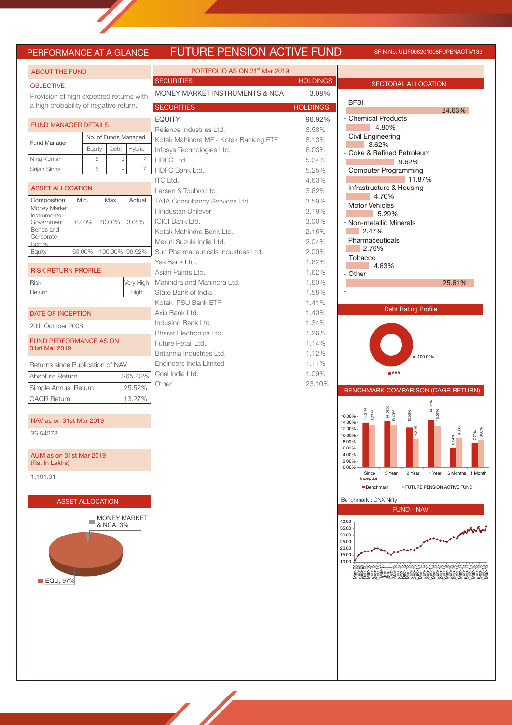# PERFORMANCE AT A GLANCE FUTURE PENSION ACTIVE FUND SFIN No. ULIF008201008FUPENACTIV133

| <b>SECURITIES</b><br><b>HOLDINGS</b><br><b>SECTORAL ALLOCATION</b><br><b>OBJECTIVE</b><br>MONEY MARKET INSTRUMENTS & NCA<br>3.08%<br>Provision of high expected returns with<br><b>BFSI</b><br>a high probability of negative return.<br><b>SECURITIES</b><br><b>HOLDINGS</b><br>24.63%<br><b>Chemical Products</b><br><b>EQUITY</b><br>96.92%<br><b>FUND MANAGER DETAILS</b><br>4.80%<br>8.58%<br>Reliance Industries Ltd.<br>Civil Engineering<br>No. of Funds Managed<br>Kotak Mahindra MF - Kotak Banking ETF<br>8.13%<br>Fund Manager<br>3.62%<br>Debt<br>Equity<br>Hybrid<br>Infosys Technologies Ltd.<br>6.03%<br>Coke & Refined Petroleum<br>Niraj Kumar<br>5<br>3<br>$\overline{7}$<br>HDFC Ltd.<br>5.34%<br>9.62%<br>5<br>$\overline{7}$<br>Srijan Sinha<br>HDFC Bank Ltd.<br>5.25%<br><b>Computer Programming</b><br>11.87%<br><b>ITC Ltd.</b><br>4.63%<br>Infrastructure & Housing<br><b>ASSET ALLOCATION</b><br>Larsen & Toubro Ltd.<br>3.62%<br>4.70%<br>Composition<br>Min.<br>Max.<br>Actual<br>TATA Consultancy Services Ltd.<br>3.59%<br><b>Motor Vehicles</b><br>Money Market<br>Hindustan Unilever<br>3.19%<br>5.29%<br>Instruments,<br><b>ICICI Bank Ltd.</b><br>3.00%<br>40.00%<br>3.08%<br>Government<br>$0.00\%$<br>Non-metallic Minerals<br>Bonds and<br>2.15%<br>2.47%<br>Kotak Mahindra Bank Ltd.<br>Corporate<br>Pharmaceuticals<br>Maruti Suzuki India Ltd.<br>2.04%<br><b>Bonds</b><br>2.76%<br>100.00% 96.92%<br>Equity<br>60.00%<br>Sun Pharmaceuticals Industries Ltd.<br>2.00%<br>Tobacco<br>1.62%<br>Yes Bank Ltd.<br>4.63%<br><b>RISK RETURN PROFILE</b><br>Asian Paints Ltd.<br>1.62%<br>Other<br><b>Risk</b><br>Very High<br>Mahindra and Mahindra Ltd.<br>1.60%<br>25.61%<br>Return<br>State Bank of India<br>1.58%<br>High<br>Kotak PSU Bank ETF<br>1.41%<br><b>Debt Rating Profile</b><br>Axis Bank Ltd.<br>1.40%<br>DATE OF INCEPTION<br>IndusInd Bank Ltd.<br>1.34%<br>20th October 2008<br>Bharat Electronics Ltd.<br>1.26%<br><b>FUND PERFORMANCE AS ON</b><br>Future Retail Ltd.<br>1.14%<br>31st Mar 2019<br>Britannia Industries Ltd.<br>1.12%<br>■ 100.00%<br>Engineers India Limited<br>1.11%<br>Returns since Publication of NAV<br>AAA<br>Coal India Ltd.<br>1.09%<br>Absolute Return<br>265.43%<br>Other<br>23.10%<br>25.52%<br>Simple Annual Return<br>BENCHMARK COMPARISON (CAGR RETURN)<br><b>CAGR Return</b><br>13.27%<br>14.93%<br>14.52%<br>13.40%<br>12.56%<br>14.01%<br>13.27%<br>16.00%<br>NAV as on 31st Mar 2019<br>14.00%<br>9.30%<br>12.00%<br>9.04%<br>36.54278<br>10.00%<br>34%<br>8.00%<br>6.00%<br>4.00%<br>AUM as on 31st Mar 2019<br>2.00%<br>(Rs. In Lakhs)<br>0.00%<br>3 Year<br>Since<br>2 Year<br>1 Year<br>1,101.31<br>Inception<br>FUTURE PENSION ACTIVE FUND<br><b>Benchmark</b><br>Benchmark: CNX Nifty<br><b>ASSET ALLOCATION</b><br><b>FUND - NAV</b><br><b>MONEY MARKET</b><br>40.00<br>& NCA, 3%<br>35.00<br>30.00<br>25.00<br>20.00<br>15.00<br>10.00<br><u> ე</u> სასასამ 44440 სერტრერის | <b>ABOUT THE FUND</b> |  |  |  |  | PORTFOLIO AS ON 31 <sup>st</sup> Mar 2019 |                     |
|---------------------------------------------------------------------------------------------------------------------------------------------------------------------------------------------------------------------------------------------------------------------------------------------------------------------------------------------------------------------------------------------------------------------------------------------------------------------------------------------------------------------------------------------------------------------------------------------------------------------------------------------------------------------------------------------------------------------------------------------------------------------------------------------------------------------------------------------------------------------------------------------------------------------------------------------------------------------------------------------------------------------------------------------------------------------------------------------------------------------------------------------------------------------------------------------------------------------------------------------------------------------------------------------------------------------------------------------------------------------------------------------------------------------------------------------------------------------------------------------------------------------------------------------------------------------------------------------------------------------------------------------------------------------------------------------------------------------------------------------------------------------------------------------------------------------------------------------------------------------------------------------------------------------------------------------------------------------------------------------------------------------------------------------------------------------------------------------------------------------------------------------------------------------------------------------------------------------------------------------------------------------------------------------------------------------------------------------------------------------------------------------------------------------------------------------------------------------------------------------------------------------------------------------------------------------------------------------------------------------------------------------------------------------------------------------------------------------------------------------------------------------------------------------------------------------------------------------------------------------------------------------------------------------------------------------------------------------------------|-----------------------|--|--|--|--|-------------------------------------------|---------------------|
|                                                                                                                                                                                                                                                                                                                                                                                                                                                                                                                                                                                                                                                                                                                                                                                                                                                                                                                                                                                                                                                                                                                                                                                                                                                                                                                                                                                                                                                                                                                                                                                                                                                                                                                                                                                                                                                                                                                                                                                                                                                                                                                                                                                                                                                                                                                                                                                                                                                                                                                                                                                                                                                                                                                                                                                                                                                                                                                                                                                 |                       |  |  |  |  |                                           |                     |
|                                                                                                                                                                                                                                                                                                                                                                                                                                                                                                                                                                                                                                                                                                                                                                                                                                                                                                                                                                                                                                                                                                                                                                                                                                                                                                                                                                                                                                                                                                                                                                                                                                                                                                                                                                                                                                                                                                                                                                                                                                                                                                                                                                                                                                                                                                                                                                                                                                                                                                                                                                                                                                                                                                                                                                                                                                                                                                                                                                                 |                       |  |  |  |  |                                           |                     |
|                                                                                                                                                                                                                                                                                                                                                                                                                                                                                                                                                                                                                                                                                                                                                                                                                                                                                                                                                                                                                                                                                                                                                                                                                                                                                                                                                                                                                                                                                                                                                                                                                                                                                                                                                                                                                                                                                                                                                                                                                                                                                                                                                                                                                                                                                                                                                                                                                                                                                                                                                                                                                                                                                                                                                                                                                                                                                                                                                                                 |                       |  |  |  |  |                                           |                     |
|                                                                                                                                                                                                                                                                                                                                                                                                                                                                                                                                                                                                                                                                                                                                                                                                                                                                                                                                                                                                                                                                                                                                                                                                                                                                                                                                                                                                                                                                                                                                                                                                                                                                                                                                                                                                                                                                                                                                                                                                                                                                                                                                                                                                                                                                                                                                                                                                                                                                                                                                                                                                                                                                                                                                                                                                                                                                                                                                                                                 |                       |  |  |  |  |                                           |                     |
|                                                                                                                                                                                                                                                                                                                                                                                                                                                                                                                                                                                                                                                                                                                                                                                                                                                                                                                                                                                                                                                                                                                                                                                                                                                                                                                                                                                                                                                                                                                                                                                                                                                                                                                                                                                                                                                                                                                                                                                                                                                                                                                                                                                                                                                                                                                                                                                                                                                                                                                                                                                                                                                                                                                                                                                                                                                                                                                                                                                 |                       |  |  |  |  |                                           |                     |
|                                                                                                                                                                                                                                                                                                                                                                                                                                                                                                                                                                                                                                                                                                                                                                                                                                                                                                                                                                                                                                                                                                                                                                                                                                                                                                                                                                                                                                                                                                                                                                                                                                                                                                                                                                                                                                                                                                                                                                                                                                                                                                                                                                                                                                                                                                                                                                                                                                                                                                                                                                                                                                                                                                                                                                                                                                                                                                                                                                                 |                       |  |  |  |  |                                           |                     |
|                                                                                                                                                                                                                                                                                                                                                                                                                                                                                                                                                                                                                                                                                                                                                                                                                                                                                                                                                                                                                                                                                                                                                                                                                                                                                                                                                                                                                                                                                                                                                                                                                                                                                                                                                                                                                                                                                                                                                                                                                                                                                                                                                                                                                                                                                                                                                                                                                                                                                                                                                                                                                                                                                                                                                                                                                                                                                                                                                                                 |                       |  |  |  |  |                                           |                     |
|                                                                                                                                                                                                                                                                                                                                                                                                                                                                                                                                                                                                                                                                                                                                                                                                                                                                                                                                                                                                                                                                                                                                                                                                                                                                                                                                                                                                                                                                                                                                                                                                                                                                                                                                                                                                                                                                                                                                                                                                                                                                                                                                                                                                                                                                                                                                                                                                                                                                                                                                                                                                                                                                                                                                                                                                                                                                                                                                                                                 |                       |  |  |  |  |                                           |                     |
|                                                                                                                                                                                                                                                                                                                                                                                                                                                                                                                                                                                                                                                                                                                                                                                                                                                                                                                                                                                                                                                                                                                                                                                                                                                                                                                                                                                                                                                                                                                                                                                                                                                                                                                                                                                                                                                                                                                                                                                                                                                                                                                                                                                                                                                                                                                                                                                                                                                                                                                                                                                                                                                                                                                                                                                                                                                                                                                                                                                 |                       |  |  |  |  |                                           |                     |
|                                                                                                                                                                                                                                                                                                                                                                                                                                                                                                                                                                                                                                                                                                                                                                                                                                                                                                                                                                                                                                                                                                                                                                                                                                                                                                                                                                                                                                                                                                                                                                                                                                                                                                                                                                                                                                                                                                                                                                                                                                                                                                                                                                                                                                                                                                                                                                                                                                                                                                                                                                                                                                                                                                                                                                                                                                                                                                                                                                                 |                       |  |  |  |  |                                           |                     |
|                                                                                                                                                                                                                                                                                                                                                                                                                                                                                                                                                                                                                                                                                                                                                                                                                                                                                                                                                                                                                                                                                                                                                                                                                                                                                                                                                                                                                                                                                                                                                                                                                                                                                                                                                                                                                                                                                                                                                                                                                                                                                                                                                                                                                                                                                                                                                                                                                                                                                                                                                                                                                                                                                                                                                                                                                                                                                                                                                                                 |                       |  |  |  |  |                                           |                     |
|                                                                                                                                                                                                                                                                                                                                                                                                                                                                                                                                                                                                                                                                                                                                                                                                                                                                                                                                                                                                                                                                                                                                                                                                                                                                                                                                                                                                                                                                                                                                                                                                                                                                                                                                                                                                                                                                                                                                                                                                                                                                                                                                                                                                                                                                                                                                                                                                                                                                                                                                                                                                                                                                                                                                                                                                                                                                                                                                                                                 |                       |  |  |  |  |                                           |                     |
|                                                                                                                                                                                                                                                                                                                                                                                                                                                                                                                                                                                                                                                                                                                                                                                                                                                                                                                                                                                                                                                                                                                                                                                                                                                                                                                                                                                                                                                                                                                                                                                                                                                                                                                                                                                                                                                                                                                                                                                                                                                                                                                                                                                                                                                                                                                                                                                                                                                                                                                                                                                                                                                                                                                                                                                                                                                                                                                                                                                 |                       |  |  |  |  |                                           |                     |
|                                                                                                                                                                                                                                                                                                                                                                                                                                                                                                                                                                                                                                                                                                                                                                                                                                                                                                                                                                                                                                                                                                                                                                                                                                                                                                                                                                                                                                                                                                                                                                                                                                                                                                                                                                                                                                                                                                                                                                                                                                                                                                                                                                                                                                                                                                                                                                                                                                                                                                                                                                                                                                                                                                                                                                                                                                                                                                                                                                                 |                       |  |  |  |  |                                           |                     |
|                                                                                                                                                                                                                                                                                                                                                                                                                                                                                                                                                                                                                                                                                                                                                                                                                                                                                                                                                                                                                                                                                                                                                                                                                                                                                                                                                                                                                                                                                                                                                                                                                                                                                                                                                                                                                                                                                                                                                                                                                                                                                                                                                                                                                                                                                                                                                                                                                                                                                                                                                                                                                                                                                                                                                                                                                                                                                                                                                                                 |                       |  |  |  |  |                                           |                     |
|                                                                                                                                                                                                                                                                                                                                                                                                                                                                                                                                                                                                                                                                                                                                                                                                                                                                                                                                                                                                                                                                                                                                                                                                                                                                                                                                                                                                                                                                                                                                                                                                                                                                                                                                                                                                                                                                                                                                                                                                                                                                                                                                                                                                                                                                                                                                                                                                                                                                                                                                                                                                                                                                                                                                                                                                                                                                                                                                                                                 |                       |  |  |  |  |                                           |                     |
|                                                                                                                                                                                                                                                                                                                                                                                                                                                                                                                                                                                                                                                                                                                                                                                                                                                                                                                                                                                                                                                                                                                                                                                                                                                                                                                                                                                                                                                                                                                                                                                                                                                                                                                                                                                                                                                                                                                                                                                                                                                                                                                                                                                                                                                                                                                                                                                                                                                                                                                                                                                                                                                                                                                                                                                                                                                                                                                                                                                 |                       |  |  |  |  |                                           |                     |
|                                                                                                                                                                                                                                                                                                                                                                                                                                                                                                                                                                                                                                                                                                                                                                                                                                                                                                                                                                                                                                                                                                                                                                                                                                                                                                                                                                                                                                                                                                                                                                                                                                                                                                                                                                                                                                                                                                                                                                                                                                                                                                                                                                                                                                                                                                                                                                                                                                                                                                                                                                                                                                                                                                                                                                                                                                                                                                                                                                                 |                       |  |  |  |  |                                           |                     |
|                                                                                                                                                                                                                                                                                                                                                                                                                                                                                                                                                                                                                                                                                                                                                                                                                                                                                                                                                                                                                                                                                                                                                                                                                                                                                                                                                                                                                                                                                                                                                                                                                                                                                                                                                                                                                                                                                                                                                                                                                                                                                                                                                                                                                                                                                                                                                                                                                                                                                                                                                                                                                                                                                                                                                                                                                                                                                                                                                                                 |                       |  |  |  |  |                                           |                     |
|                                                                                                                                                                                                                                                                                                                                                                                                                                                                                                                                                                                                                                                                                                                                                                                                                                                                                                                                                                                                                                                                                                                                                                                                                                                                                                                                                                                                                                                                                                                                                                                                                                                                                                                                                                                                                                                                                                                                                                                                                                                                                                                                                                                                                                                                                                                                                                                                                                                                                                                                                                                                                                                                                                                                                                                                                                                                                                                                                                                 |                       |  |  |  |  |                                           |                     |
|                                                                                                                                                                                                                                                                                                                                                                                                                                                                                                                                                                                                                                                                                                                                                                                                                                                                                                                                                                                                                                                                                                                                                                                                                                                                                                                                                                                                                                                                                                                                                                                                                                                                                                                                                                                                                                                                                                                                                                                                                                                                                                                                                                                                                                                                                                                                                                                                                                                                                                                                                                                                                                                                                                                                                                                                                                                                                                                                                                                 |                       |  |  |  |  |                                           |                     |
|                                                                                                                                                                                                                                                                                                                                                                                                                                                                                                                                                                                                                                                                                                                                                                                                                                                                                                                                                                                                                                                                                                                                                                                                                                                                                                                                                                                                                                                                                                                                                                                                                                                                                                                                                                                                                                                                                                                                                                                                                                                                                                                                                                                                                                                                                                                                                                                                                                                                                                                                                                                                                                                                                                                                                                                                                                                                                                                                                                                 |                       |  |  |  |  |                                           |                     |
|                                                                                                                                                                                                                                                                                                                                                                                                                                                                                                                                                                                                                                                                                                                                                                                                                                                                                                                                                                                                                                                                                                                                                                                                                                                                                                                                                                                                                                                                                                                                                                                                                                                                                                                                                                                                                                                                                                                                                                                                                                                                                                                                                                                                                                                                                                                                                                                                                                                                                                                                                                                                                                                                                                                                                                                                                                                                                                                                                                                 |                       |  |  |  |  |                                           |                     |
|                                                                                                                                                                                                                                                                                                                                                                                                                                                                                                                                                                                                                                                                                                                                                                                                                                                                                                                                                                                                                                                                                                                                                                                                                                                                                                                                                                                                                                                                                                                                                                                                                                                                                                                                                                                                                                                                                                                                                                                                                                                                                                                                                                                                                                                                                                                                                                                                                                                                                                                                                                                                                                                                                                                                                                                                                                                                                                                                                                                 |                       |  |  |  |  |                                           |                     |
|                                                                                                                                                                                                                                                                                                                                                                                                                                                                                                                                                                                                                                                                                                                                                                                                                                                                                                                                                                                                                                                                                                                                                                                                                                                                                                                                                                                                                                                                                                                                                                                                                                                                                                                                                                                                                                                                                                                                                                                                                                                                                                                                                                                                                                                                                                                                                                                                                                                                                                                                                                                                                                                                                                                                                                                                                                                                                                                                                                                 |                       |  |  |  |  |                                           |                     |
|                                                                                                                                                                                                                                                                                                                                                                                                                                                                                                                                                                                                                                                                                                                                                                                                                                                                                                                                                                                                                                                                                                                                                                                                                                                                                                                                                                                                                                                                                                                                                                                                                                                                                                                                                                                                                                                                                                                                                                                                                                                                                                                                                                                                                                                                                                                                                                                                                                                                                                                                                                                                                                                                                                                                                                                                                                                                                                                                                                                 |                       |  |  |  |  |                                           |                     |
|                                                                                                                                                                                                                                                                                                                                                                                                                                                                                                                                                                                                                                                                                                                                                                                                                                                                                                                                                                                                                                                                                                                                                                                                                                                                                                                                                                                                                                                                                                                                                                                                                                                                                                                                                                                                                                                                                                                                                                                                                                                                                                                                                                                                                                                                                                                                                                                                                                                                                                                                                                                                                                                                                                                                                                                                                                                                                                                                                                                 |                       |  |  |  |  |                                           |                     |
|                                                                                                                                                                                                                                                                                                                                                                                                                                                                                                                                                                                                                                                                                                                                                                                                                                                                                                                                                                                                                                                                                                                                                                                                                                                                                                                                                                                                                                                                                                                                                                                                                                                                                                                                                                                                                                                                                                                                                                                                                                                                                                                                                                                                                                                                                                                                                                                                                                                                                                                                                                                                                                                                                                                                                                                                                                                                                                                                                                                 |                       |  |  |  |  |                                           |                     |
|                                                                                                                                                                                                                                                                                                                                                                                                                                                                                                                                                                                                                                                                                                                                                                                                                                                                                                                                                                                                                                                                                                                                                                                                                                                                                                                                                                                                                                                                                                                                                                                                                                                                                                                                                                                                                                                                                                                                                                                                                                                                                                                                                                                                                                                                                                                                                                                                                                                                                                                                                                                                                                                                                                                                                                                                                                                                                                                                                                                 |                       |  |  |  |  |                                           |                     |
|                                                                                                                                                                                                                                                                                                                                                                                                                                                                                                                                                                                                                                                                                                                                                                                                                                                                                                                                                                                                                                                                                                                                                                                                                                                                                                                                                                                                                                                                                                                                                                                                                                                                                                                                                                                                                                                                                                                                                                                                                                                                                                                                                                                                                                                                                                                                                                                                                                                                                                                                                                                                                                                                                                                                                                                                                                                                                                                                                                                 |                       |  |  |  |  |                                           |                     |
|                                                                                                                                                                                                                                                                                                                                                                                                                                                                                                                                                                                                                                                                                                                                                                                                                                                                                                                                                                                                                                                                                                                                                                                                                                                                                                                                                                                                                                                                                                                                                                                                                                                                                                                                                                                                                                                                                                                                                                                                                                                                                                                                                                                                                                                                                                                                                                                                                                                                                                                                                                                                                                                                                                                                                                                                                                                                                                                                                                                 |                       |  |  |  |  |                                           |                     |
|                                                                                                                                                                                                                                                                                                                                                                                                                                                                                                                                                                                                                                                                                                                                                                                                                                                                                                                                                                                                                                                                                                                                                                                                                                                                                                                                                                                                                                                                                                                                                                                                                                                                                                                                                                                                                                                                                                                                                                                                                                                                                                                                                                                                                                                                                                                                                                                                                                                                                                                                                                                                                                                                                                                                                                                                                                                                                                                                                                                 |                       |  |  |  |  |                                           |                     |
|                                                                                                                                                                                                                                                                                                                                                                                                                                                                                                                                                                                                                                                                                                                                                                                                                                                                                                                                                                                                                                                                                                                                                                                                                                                                                                                                                                                                                                                                                                                                                                                                                                                                                                                                                                                                                                                                                                                                                                                                                                                                                                                                                                                                                                                                                                                                                                                                                                                                                                                                                                                                                                                                                                                                                                                                                                                                                                                                                                                 |                       |  |  |  |  |                                           |                     |
|                                                                                                                                                                                                                                                                                                                                                                                                                                                                                                                                                                                                                                                                                                                                                                                                                                                                                                                                                                                                                                                                                                                                                                                                                                                                                                                                                                                                                                                                                                                                                                                                                                                                                                                                                                                                                                                                                                                                                                                                                                                                                                                                                                                                                                                                                                                                                                                                                                                                                                                                                                                                                                                                                                                                                                                                                                                                                                                                                                                 |                       |  |  |  |  |                                           |                     |
|                                                                                                                                                                                                                                                                                                                                                                                                                                                                                                                                                                                                                                                                                                                                                                                                                                                                                                                                                                                                                                                                                                                                                                                                                                                                                                                                                                                                                                                                                                                                                                                                                                                                                                                                                                                                                                                                                                                                                                                                                                                                                                                                                                                                                                                                                                                                                                                                                                                                                                                                                                                                                                                                                                                                                                                                                                                                                                                                                                                 |                       |  |  |  |  |                                           | 7.70%<br>8.60%      |
|                                                                                                                                                                                                                                                                                                                                                                                                                                                                                                                                                                                                                                                                                                                                                                                                                                                                                                                                                                                                                                                                                                                                                                                                                                                                                                                                                                                                                                                                                                                                                                                                                                                                                                                                                                                                                                                                                                                                                                                                                                                                                                                                                                                                                                                                                                                                                                                                                                                                                                                                                                                                                                                                                                                                                                                                                                                                                                                                                                                 |                       |  |  |  |  |                                           | 6 Months 1 Month    |
|                                                                                                                                                                                                                                                                                                                                                                                                                                                                                                                                                                                                                                                                                                                                                                                                                                                                                                                                                                                                                                                                                                                                                                                                                                                                                                                                                                                                                                                                                                                                                                                                                                                                                                                                                                                                                                                                                                                                                                                                                                                                                                                                                                                                                                                                                                                                                                                                                                                                                                                                                                                                                                                                                                                                                                                                                                                                                                                                                                                 |                       |  |  |  |  |                                           |                     |
|                                                                                                                                                                                                                                                                                                                                                                                                                                                                                                                                                                                                                                                                                                                                                                                                                                                                                                                                                                                                                                                                                                                                                                                                                                                                                                                                                                                                                                                                                                                                                                                                                                                                                                                                                                                                                                                                                                                                                                                                                                                                                                                                                                                                                                                                                                                                                                                                                                                                                                                                                                                                                                                                                                                                                                                                                                                                                                                                                                                 |                       |  |  |  |  |                                           |                     |
|                                                                                                                                                                                                                                                                                                                                                                                                                                                                                                                                                                                                                                                                                                                                                                                                                                                                                                                                                                                                                                                                                                                                                                                                                                                                                                                                                                                                                                                                                                                                                                                                                                                                                                                                                                                                                                                                                                                                                                                                                                                                                                                                                                                                                                                                                                                                                                                                                                                                                                                                                                                                                                                                                                                                                                                                                                                                                                                                                                                 |                       |  |  |  |  |                                           | <b>Northeastern</b> |
| ₩Ω≥≥™Ω≥≥™Ω≥≥™Ω≥≥™<br>EQU, 97%                                                                                                                                                                                                                                                                                                                                                                                                                                                                                                                                                                                                                                                                                                                                                                                                                                                                                                                                                                                                                                                                                                                                                                                                                                                                                                                                                                                                                                                                                                                                                                                                                                                                                                                                                                                                                                                                                                                                                                                                                                                                                                                                                                                                                                                                                                                                                                                                                                                                                                                                                                                                                                                                                                                                                                                                                                                                                                                                                   |                       |  |  |  |  |                                           |                     |
|                                                                                                                                                                                                                                                                                                                                                                                                                                                                                                                                                                                                                                                                                                                                                                                                                                                                                                                                                                                                                                                                                                                                                                                                                                                                                                                                                                                                                                                                                                                                                                                                                                                                                                                                                                                                                                                                                                                                                                                                                                                                                                                                                                                                                                                                                                                                                                                                                                                                                                                                                                                                                                                                                                                                                                                                                                                                                                                                                                                 |                       |  |  |  |  |                                           |                     |

 $\sqrt{2}$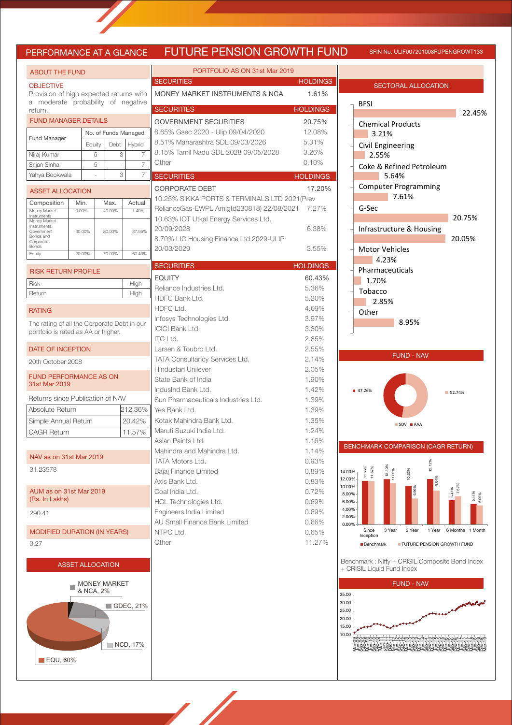# UTURE PENSION GROWTH FUND SFIN NO. ULIF007201008FUPENGROWT133

| PORTFOLIO AS ON 31st Mar 2019<br><b>ABOUT THE FUND</b><br><b>SECURITIES</b><br><b>HOLDING</b><br><b>OBJECTIVE</b><br>MONEY MARKET INSTRUMENTS & NCA<br>Provision of high expected returns with<br>a moderate probability of negative<br><b>HOLDING</b><br><b>SECURITIES</b><br>return.<br><b>FUND MANAGER DETAILS</b><br><b>GOVERNMENT SECURITIES</b> | 1.61%              |
|-------------------------------------------------------------------------------------------------------------------------------------------------------------------------------------------------------------------------------------------------------------------------------------------------------------------------------------------------------|--------------------|
|                                                                                                                                                                                                                                                                                                                                                       |                    |
|                                                                                                                                                                                                                                                                                                                                                       |                    |
|                                                                                                                                                                                                                                                                                                                                                       |                    |
|                                                                                                                                                                                                                                                                                                                                                       |                    |
|                                                                                                                                                                                                                                                                                                                                                       | 20.75%             |
| 6.65% Gsec 2020 - Ulip 09/04/2020<br>No. of Funds Managed                                                                                                                                                                                                                                                                                             | 12.08%             |
| <b>Fund Manager</b><br>8.51% Maharashtra SDL 09/03/2026<br>Hybrid<br>Debt<br>Equity                                                                                                                                                                                                                                                                   | 5.31%              |
| 8.15% Tamil Nadu SDL 2028 09/05/2028<br>3<br>5<br>Niraj Kumar<br>7                                                                                                                                                                                                                                                                                    | 3.26%              |
| Other<br>$\overline{7}$<br>Srijan Sinha<br>5<br>÷,                                                                                                                                                                                                                                                                                                    | 0.10%              |
| 3<br>7<br>Yahya Bookwala<br><b>SECURITIES</b><br><b>HOLDING</b>                                                                                                                                                                                                                                                                                       |                    |
| <b>CORPORATE DEBT</b><br><b>ASSET ALLOCATION</b>                                                                                                                                                                                                                                                                                                      | 17.20 <sup>o</sup> |
| 10.25% SIKKA PORTS & TERMINALS LTD 2021 (Prev<br>Composition<br>Min.<br>Max.<br>Actual                                                                                                                                                                                                                                                                |                    |
| RelianceGas-EWPL Amlgtd230818) 22/08/2021<br>0.00%<br>40.00%<br>1.40%<br>Money Market<br><b>Instruments</b>                                                                                                                                                                                                                                           | 7.27%              |
| 10.63% IOT Utkal Energy Services Ltd.<br>Money Market<br>Instruments,                                                                                                                                                                                                                                                                                 |                    |
| 20/09/2028<br>37.95%<br>30.00%<br>80.00%<br>Government<br>Bonds and<br>8.70% LIC Housing Finance Ltd 2029-ULIP                                                                                                                                                                                                                                        | 6.38%              |
| Corporate<br>Bonds<br>20/03/2029                                                                                                                                                                                                                                                                                                                      | 3.55%              |
| 20.00%<br>70.00%<br>60.43%<br>Equity                                                                                                                                                                                                                                                                                                                  |                    |
| <b>SECURITIES</b><br><b>HOLDINGS</b><br><b>RISK RETURN PROFILE</b>                                                                                                                                                                                                                                                                                    |                    |
| <b>EQUITY</b><br><b>Risk</b><br>High                                                                                                                                                                                                                                                                                                                  | 60.43%             |
| Reliance Industries Ltd.<br>Return<br>High                                                                                                                                                                                                                                                                                                            | 5.36%              |
| HDFC Bank Ltd.                                                                                                                                                                                                                                                                                                                                        | 5.20%              |
| HDFC Ltd.<br><b>RATING</b>                                                                                                                                                                                                                                                                                                                            | 4.69%              |
| Infosys Technologies Ltd.<br>The rating of all the Corporate Debt in our<br><b>ICICI Bank Ltd.</b>                                                                                                                                                                                                                                                    | 3.97%<br>3.30%     |
| portfolio is rated as AA or higher.<br><b>ITC Ltd.</b>                                                                                                                                                                                                                                                                                                | 2.85%              |
| DATE OF INCEPTION<br>Larsen & Toubro Ltd.                                                                                                                                                                                                                                                                                                             | 2.55%              |
| TATA Consultancy Services Ltd.<br>20th October 2008                                                                                                                                                                                                                                                                                                   | 2.14%              |
| <b>Hindustan Unilever</b>                                                                                                                                                                                                                                                                                                                             | 2.05%              |
| <b>FUND PERFORMANCE AS ON</b><br>State Bank of India<br>31st Mar 2019                                                                                                                                                                                                                                                                                 | 1.90%              |
| IndusInd Bank Ltd.                                                                                                                                                                                                                                                                                                                                    | 1.42%              |
| Returns since Publication of NAV<br>Sun Pharmaceuticals Industries Ltd.                                                                                                                                                                                                                                                                               | 1.39%              |
| 212.36%<br>Absolute Return<br>Yes Bank Ltd.                                                                                                                                                                                                                                                                                                           | 1.39%              |
| Kotak Mahindra Bank Ltd.<br>Simple Annual Return<br>20.42%<br>Maruti Suzuki India Ltd.                                                                                                                                                                                                                                                                | 1.35%<br>1.24%     |
| 11.57%<br><b>CAGR Return</b><br>Asian Paints Ltd.                                                                                                                                                                                                                                                                                                     | 1.16%              |
| Mahindra and Mahindra Ltd.                                                                                                                                                                                                                                                                                                                            | 1.14%              |
| NAV as on 31st Mar 2019<br>TATA Motors Ltd.                                                                                                                                                                                                                                                                                                           | 0.93%              |
| 31.23578<br>Bajaj Finance Limited                                                                                                                                                                                                                                                                                                                     | 0.89%              |
| Axis Bank Ltd.                                                                                                                                                                                                                                                                                                                                        | 0.83%              |
| AUM as on 31st Mar 2019<br>Coal India Ltd.                                                                                                                                                                                                                                                                                                            | 0.72%              |
| (Rs. In Lakhs)<br>HCL Technologies Ltd.                                                                                                                                                                                                                                                                                                               | 0.69%              |
| Engineers India Limited<br>290.41<br>AU Small Finance Bank Limited                                                                                                                                                                                                                                                                                    | 0.69%              |
| <b>MODIFIED DURATION (IN YEARS)</b><br>NTPC Ltd.                                                                                                                                                                                                                                                                                                      | 0.66%<br>0.65%     |
| Other<br>3.27                                                                                                                                                                                                                                                                                                                                         | 11.27%             |
|                                                                                                                                                                                                                                                                                                                                                       |                    |
| <b>ASSET ALLOCATION</b>                                                                                                                                                                                                                                                                                                                               |                    |
|                                                                                                                                                                                                                                                                                                                                                       |                    |
| <b>MONEY MARKET</b><br>& NCA, 2%                                                                                                                                                                                                                                                                                                                      |                    |
|                                                                                                                                                                                                                                                                                                                                                       |                    |
| $\blacksquare$ GDEC, 21%                                                                                                                                                                                                                                                                                                                              |                    |

NCD, 17%

**EQU, 60%** 



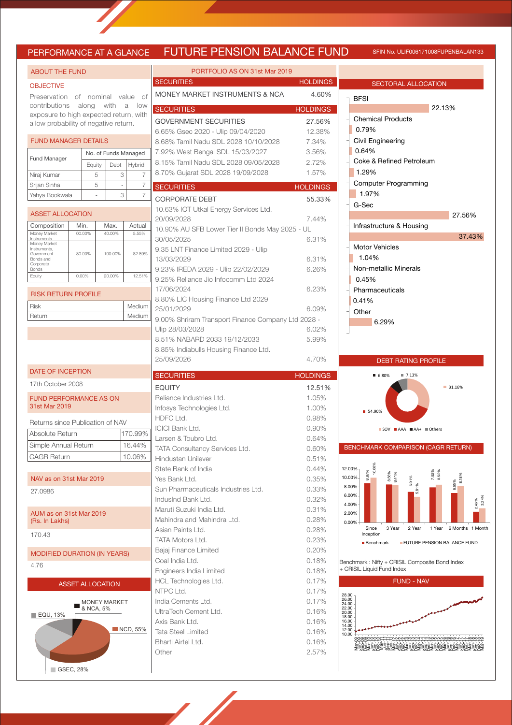## PERFORMANCE AT A GLANCE FUTURE PENSION BALANCE FUND SFIN NO. ULIF006171008FUPENBALAN133

| <b>ABOUT THE FUND</b>                                |                         |                        |                                    |                           |                         | PORTFOLIO A                                                        |  |  |  |
|------------------------------------------------------|-------------------------|------------------------|------------------------------------|---------------------------|-------------------------|--------------------------------------------------------------------|--|--|--|
| <b>OBJECTIVE</b>                                     |                         |                        |                                    |                           |                         | <b>SECURITIES</b>                                                  |  |  |  |
| Preservation<br>contributions                        |                         | along with             | of nominal value<br>оf<br>a<br>low | <b>MONEY MARKET INSTF</b> |                         |                                                                    |  |  |  |
| exposure to high expected return, with               |                         | <b>SECURITIES</b>      |                                    |                           |                         |                                                                    |  |  |  |
| a low probability of negative return.                |                         |                        |                                    |                           |                         | <b>GOVERNMENT SECURI</b><br>6.65% Gsec 2020 - Ulip (               |  |  |  |
| <b>FUND MANAGER DETAILS</b>                          |                         | 8.68% Tamil Nadu SDL 2 |                                    |                           |                         |                                                                    |  |  |  |
|                                                      |                         |                        | No. of Funds Managed               | 7.92% West Bengal SDL     |                         |                                                                    |  |  |  |
| <b>Fund Manager</b>                                  |                         | Equity                 |                                    | Debt                      | Hybrid                  | 8.15% Tamil Nadu SDL 2                                             |  |  |  |
| Niraj Kumar                                          |                         |                        | 5                                  | 3                         | 7                       | 8.70% Gujarat SDL 2028                                             |  |  |  |
| Srijan Sinha                                         |                         |                        | 5                                  | ÷,                        | 7                       |                                                                    |  |  |  |
| Yahya Bookwala                                       |                         |                        |                                    | 3                         | 7                       | <b>SECURITIES</b>                                                  |  |  |  |
| <b>ASSET ALLOCATION</b>                              |                         |                        |                                    |                           |                         | <b>CORPORATE DEBT</b><br>10.63% IOT Utkal Energy                   |  |  |  |
|                                                      | Min.                    |                        |                                    |                           |                         | 20/09/2028                                                         |  |  |  |
| Composition<br>Money Market                          | 00.00%                  |                        |                                    | Max.<br>40.00%            | Actual<br>5.55%         | 10.90% AU SFB Lower T                                              |  |  |  |
| Instruments<br>Money Market                          |                         |                        |                                    |                           |                         | 30/05/2025                                                         |  |  |  |
| Instruments,<br>Government<br>Bonds and<br>Corporate | 80.00%                  |                        |                                    | 100.00%                   | 82.89%                  | 9.35 LNT Finance Limitec<br>13/03/2029                             |  |  |  |
| Bonds<br>Equity                                      | 0.00%                   |                        |                                    | 20.00%                    | 12.51%                  | 9.23% IREDA 2029 - Ulip                                            |  |  |  |
|                                                      |                         |                        |                                    |                           |                         | 9.25% Reliance Jio Infoco                                          |  |  |  |
| <b>RISK RETURN PROFILE</b>                           |                         |                        |                                    |                           |                         | 17/06/2024<br>8.80% LIC Housing Finan                              |  |  |  |
| Risk                                                 |                         |                        |                                    |                           | Medium                  | 25/01/2029                                                         |  |  |  |
| Return                                               |                         |                        |                                    |                           | Medium                  | 9.00% Shriram Transport                                            |  |  |  |
|                                                      |                         |                        |                                    | Ulip 28/03/2028           |                         |                                                                    |  |  |  |
|                                                      |                         |                        |                                    |                           |                         | 8.51% NABARD 2033 19                                               |  |  |  |
|                                                      |                         |                        |                                    |                           |                         | 8.85% Indiabulls Housing<br>25/09/2026                             |  |  |  |
| <b>DATE OF INCEPTION</b>                             |                         |                        |                                    |                           |                         | <b>SECURITIES</b>                                                  |  |  |  |
| 17th October 2008                                    |                         |                        |                                    |                           |                         | <b>EQUITY</b>                                                      |  |  |  |
| <b>FUND PERFORMANCE AS ON</b><br>31st Mar 2019       |                         |                        |                                    |                           |                         | Reliance Industries Ltd.<br>Infosys Technologies Ltd.<br>HDFC Ltd. |  |  |  |
|                                                      |                         |                        |                                    |                           |                         |                                                                    |  |  |  |
| Returns since Publication of NAV                     |                         |                        |                                    |                           |                         | <b>ICICI Bank Ltd.</b>                                             |  |  |  |
| Absolute Return                                      |                         |                        |                                    |                           | 170.99%                 | Larsen & Toubro Ltd.                                               |  |  |  |
| Simple Annual Return                                 |                         |                        |                                    |                           | 16.44%                  | <b>TATA Consultancy Service</b>                                    |  |  |  |
| <b>CAGR Return</b>                                   |                         |                        |                                    |                           | 10.06%                  | Hindustan Unilever                                                 |  |  |  |
| NAV as on 31st Mar 2019                              |                         |                        |                                    |                           |                         | State Bank of India                                                |  |  |  |
| 27.0986                                              |                         |                        |                                    |                           |                         | Yes Bank Ltd.<br>Sun Pharmaceuticals Indu                          |  |  |  |
|                                                      |                         |                        |                                    |                           |                         | IndusInd Bank Ltd.                                                 |  |  |  |
| AUM as on 31st Mar 2019<br>(Rs. In Lakhs)            |                         |                        |                                    |                           |                         | Maruti Suzuki India Ltd.<br>Mahindra and Mahindra L                |  |  |  |
| 170.43                                               |                         |                        |                                    |                           |                         | Asian Paints Ltd.<br>TATA Motors Ltd.                              |  |  |  |
| MODIFIED DURATION (IN YEARS)                         |                         |                        |                                    | Bajaj Finance Limited     |                         |                                                                    |  |  |  |
| 4.76                                                 |                         |                        |                                    |                           |                         | Coal India Ltd.<br>Engineers India Limited                         |  |  |  |
|                                                      | <b>ASSET ALLOCATION</b> |                        |                                    |                           |                         | HCL Technologies Ltd.                                              |  |  |  |
|                                                      |                         |                        |                                    |                           |                         | NTPC Ltd.                                                          |  |  |  |
|                                                      |                         | & NCA, 5%              |                                    | <b>MONEY MARKET</b>       |                         | India Cements Ltd.                                                 |  |  |  |
| $\blacksquare$ EQU, 13%                              |                         |                        |                                    |                           |                         | UltraTech Cement Ltd.<br>Axis Bank Ltd.                            |  |  |  |
|                                                      |                         |                        |                                    |                           |                         |                                                                    |  |  |  |
|                                                      |                         |                        |                                    |                           | $\blacksquare$ NCD, 55% |                                                                    |  |  |  |
|                                                      |                         |                        |                                    |                           |                         | Tata Steel Limited<br>Bharti Airtel Ltd.                           |  |  |  |

GSEC, 28%

| <b>SECURITIES</b>                                                                                                                                                                                                                                                                                                                                                                                                                                                     |                 |
|-----------------------------------------------------------------------------------------------------------------------------------------------------------------------------------------------------------------------------------------------------------------------------------------------------------------------------------------------------------------------------------------------------------------------------------------------------------------------|-----------------|
|                                                                                                                                                                                                                                                                                                                                                                                                                                                                       | <b>HOLDINGS</b> |
| MONEY MARKET INSTRUMENTS & NCA                                                                                                                                                                                                                                                                                                                                                                                                                                        | 4.60%           |
| <b>SECURITIES</b>                                                                                                                                                                                                                                                                                                                                                                                                                                                     | <b>HOLDINGS</b> |
| <b>GOVERNMENT SECURITIES</b>                                                                                                                                                                                                                                                                                                                                                                                                                                          | 27.56%          |
| 6.65% Gsec 2020 - Ulip 09/04/2020                                                                                                                                                                                                                                                                                                                                                                                                                                     | 12.38%          |
| 8.68% Tamil Nadu SDL 2028 10/10/2028                                                                                                                                                                                                                                                                                                                                                                                                                                  | 7.34%           |
| 7.92% West Bengal SDL 15/03/2027                                                                                                                                                                                                                                                                                                                                                                                                                                      | 3.56%           |
| 8.15% Tamil Nadu SDL 2028 09/05/2028                                                                                                                                                                                                                                                                                                                                                                                                                                  | 2.72%           |
| 8.70% Gujarat SDL 2028 19/09/2028                                                                                                                                                                                                                                                                                                                                                                                                                                     | 1.57%           |
| <b>SECURITIES</b>                                                                                                                                                                                                                                                                                                                                                                                                                                                     | <b>HOLDINGS</b> |
| <b>CORPORATE DEBT</b>                                                                                                                                                                                                                                                                                                                                                                                                                                                 | 55.33%          |
| 10.63% IOT Utkal Energy Services Ltd.                                                                                                                                                                                                                                                                                                                                                                                                                                 |                 |
| 20/09/2028                                                                                                                                                                                                                                                                                                                                                                                                                                                            | 7.44%           |
| 10.90% AU SFB Lower Tier II Bonds May 2025 - UL                                                                                                                                                                                                                                                                                                                                                                                                                       |                 |
| 30/05/2025                                                                                                                                                                                                                                                                                                                                                                                                                                                            | 6.31%           |
| 9.35 LNT Finance Limited 2029 - Ulip                                                                                                                                                                                                                                                                                                                                                                                                                                  |                 |
| 13/03/2029                                                                                                                                                                                                                                                                                                                                                                                                                                                            | 6.31%           |
| 9.23% IREDA 2029 - Ulip 22/02/2029                                                                                                                                                                                                                                                                                                                                                                                                                                    | 6.26%           |
| 9.25% Reliance Jio Infocomm Ltd 2024                                                                                                                                                                                                                                                                                                                                                                                                                                  |                 |
| 17/06/2024                                                                                                                                                                                                                                                                                                                                                                                                                                                            | 6.23%           |
| 8.80% LIC Housing Finance Ltd 2029                                                                                                                                                                                                                                                                                                                                                                                                                                    |                 |
| 25/01/2029                                                                                                                                                                                                                                                                                                                                                                                                                                                            | 6.09%           |
| 9.00% Shriram Transport Finance Company Ltd 2028 -                                                                                                                                                                                                                                                                                                                                                                                                                    |                 |
| Ulip 28/03/2028                                                                                                                                                                                                                                                                                                                                                                                                                                                       | 6.02%           |
| 8.51% NABARD 2033 19/12/2033                                                                                                                                                                                                                                                                                                                                                                                                                                          | 5.99%           |
| 8.85% Indiabulls Housing Finance Ltd.                                                                                                                                                                                                                                                                                                                                                                                                                                 |                 |
| 25/09/2026                                                                                                                                                                                                                                                                                                                                                                                                                                                            | 4.70%           |
| <b>SECURITIES</b>                                                                                                                                                                                                                                                                                                                                                                                                                                                     | <b>HOLDINGS</b> |
| <b>EQUITY</b>                                                                                                                                                                                                                                                                                                                                                                                                                                                         | 12.51%          |
| Reliance Industries Ltd.                                                                                                                                                                                                                                                                                                                                                                                                                                              |                 |
|                                                                                                                                                                                                                                                                                                                                                                                                                                                                       | 1.05%           |
|                                                                                                                                                                                                                                                                                                                                                                                                                                                                       | 1.00%           |
|                                                                                                                                                                                                                                                                                                                                                                                                                                                                       | 0.98%           |
|                                                                                                                                                                                                                                                                                                                                                                                                                                                                       | 0.90%           |
|                                                                                                                                                                                                                                                                                                                                                                                                                                                                       | 0.64%           |
|                                                                                                                                                                                                                                                                                                                                                                                                                                                                       | 0.60%           |
|                                                                                                                                                                                                                                                                                                                                                                                                                                                                       | 0.51%           |
|                                                                                                                                                                                                                                                                                                                                                                                                                                                                       | 0.44%           |
|                                                                                                                                                                                                                                                                                                                                                                                                                                                                       | 0.35%           |
|                                                                                                                                                                                                                                                                                                                                                                                                                                                                       | 0.33%           |
|                                                                                                                                                                                                                                                                                                                                                                                                                                                                       | 0.32%           |
|                                                                                                                                                                                                                                                                                                                                                                                                                                                                       | 0.31%           |
|                                                                                                                                                                                                                                                                                                                                                                                                                                                                       | 0.28%           |
|                                                                                                                                                                                                                                                                                                                                                                                                                                                                       | 0.28%           |
|                                                                                                                                                                                                                                                                                                                                                                                                                                                                       | 0.23%           |
|                                                                                                                                                                                                                                                                                                                                                                                                                                                                       | 0.20%           |
|                                                                                                                                                                                                                                                                                                                                                                                                                                                                       | 0.18%           |
|                                                                                                                                                                                                                                                                                                                                                                                                                                                                       | 0.18%           |
|                                                                                                                                                                                                                                                                                                                                                                                                                                                                       | 0.17%           |
|                                                                                                                                                                                                                                                                                                                                                                                                                                                                       | 0.17%           |
|                                                                                                                                                                                                                                                                                                                                                                                                                                                                       | 0.17%           |
|                                                                                                                                                                                                                                                                                                                                                                                                                                                                       | 0.16%           |
|                                                                                                                                                                                                                                                                                                                                                                                                                                                                       | 0.16%           |
|                                                                                                                                                                                                                                                                                                                                                                                                                                                                       | 0.16%           |
| India Cements Ltd.<br>UltraTech Cement Ltd.<br>Axis Bank Ltd.<br>Tata Steel Limited<br>Bharti Airtel Ltd.                                                                                                                                                                                                                                                                                                                                                             | 0.16%           |
| Infosys Technologies Ltd.<br>HDFC Ltd.<br><b>ICICI Bank Ltd.</b><br>Larsen & Toubro Ltd.<br>TATA Consultancy Services Ltd.<br>Hindustan Unilever<br>State Bank of India<br>Yes Bank Ltd.<br>Sun Pharmaceuticals Industries Ltd.<br>IndusInd Bank Ltd.<br>Maruti Suzuki India Ltd.<br>Mahindra and Mahindra Ltd.<br>Asian Paints Ltd.<br>TATA Motors Ltd.<br>Bajaj Finance Limited<br>Coal India Ltd.<br>Engineers India Limited<br>HCL Technologies Ltd.<br>NTPC Ltd. |                 |

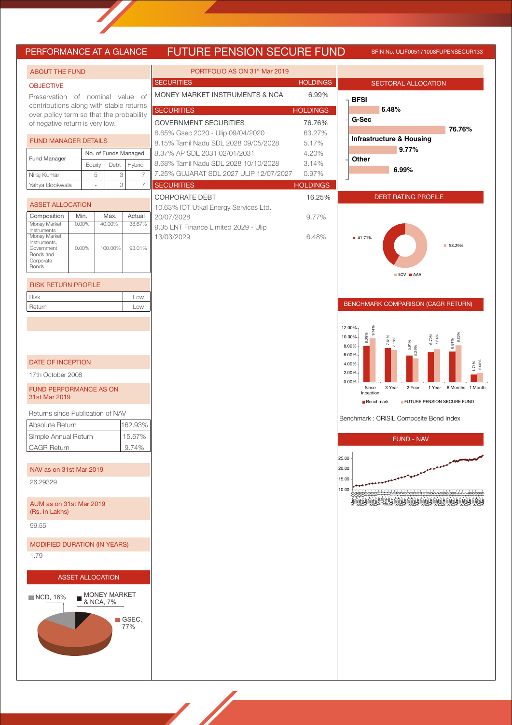# **FUTURE PENSION SECURE FUND** SFIN NO. ULIF005171008FUPENSECUR133

| ENFUNIVIAINUE AI A ULAINUE                                                  |               |        |                         |                             | <u>FUTURE FEINOIUM OEUURE FUIND</u>       |                 | <u>IIN INO. ULIFUUST7 TUUOFUPEINSEUUHTOS</u>                         |
|-----------------------------------------------------------------------------|---------------|--------|-------------------------|-----------------------------|-------------------------------------------|-----------------|----------------------------------------------------------------------|
| <b>ABOUT THE FUND</b>                                                       |               |        |                         |                             | PORTFOLIO AS ON 31 <sup>st</sup> Mar 2019 |                 |                                                                      |
| <b>OBJECTIVE</b>                                                            |               |        |                         |                             | <b>SECURITIES</b>                         | <b>HOLDINGS</b> | <b>SECTORAL ALLOCATION</b>                                           |
| Preservation of nominal value of                                            |               |        |                         |                             | MONEY MARKET INSTRUMENTS & NCA            | 6.99%           | <b>BFSI</b>                                                          |
| contributions along with stable returns                                     |               |        |                         |                             | <b>SECURITIES</b>                         | <b>HOLDINGS</b> | 6.48%                                                                |
| over policy term so that the probability<br>of negative return is very low. |               |        |                         |                             | <b>GOVERNMENT SECURITIES</b>              | 76.76%          | G-Sec                                                                |
|                                                                             |               |        |                         |                             | 6.65% Gsec 2020 - Ulip 09/04/2020         | 63.27%          | 76.76%                                                               |
| <b>FUND MANAGER DETAILS</b>                                                 |               |        |                         |                             | 8.15% Tamil Nadu SDL 2028 09/05/2028      | 5.17%           | <b>Infrastructure &amp; Housing</b>                                  |
|                                                                             |               |        |                         | No. of Funds Managed        | 8.37% AP SDL 2031 02/01/2031              | 4.20%           | 9.77%                                                                |
| Fund Manager                                                                |               | Equity | Debt                    | Hybrid                      | 8.68% Tamil Nadu SDL 2028 10/10/2028      | 3.14%           | Other                                                                |
| Niraj Kumar                                                                 |               | 5      |                         | 3<br>7                      | 7.25% GUJARAT SDL 2027 ULIP 12/07/2027    | 0.97%           | 6.99%                                                                |
| Yahya Bookwala                                                              |               |        |                         | 3<br>$\overline{7}$         | <b>SECURITIES</b>                         | <b>HOLDINGS</b> |                                                                      |
|                                                                             |               |        |                         |                             | <b>CORPORATE DEBT</b>                     | 16.25%          | <b>DEBT RATING PROFILE</b>                                           |
| <b>ASSET ALLOCATION</b>                                                     |               |        |                         |                             | 10.63% IOT Utkal Energy Services Ltd.     |                 |                                                                      |
| Composition<br>Money Market                                                 | Min.<br>0.00% |        | Max.<br>40.00%          | Actual<br>38.67%            | 20/07/2028                                | 9.77%           |                                                                      |
| Instruments                                                                 |               |        |                         |                             | 9.35 LNT Finance Limited 2029 - Ulip      |                 |                                                                      |
| Money Market<br>Instruments,                                                |               |        |                         |                             | 13/03/2029                                | 6.48%           | ■ 41.71%<br>■ 58.29%                                                 |
| Government<br>Bonds and                                                     | 0.00%         |        | 100.00%                 | 93.01%                      |                                           |                 |                                                                      |
| Corporate<br><b>Bonds</b>                                                   |               |        |                         |                             |                                           |                 |                                                                      |
|                                                                             |               |        |                         |                             |                                           |                 | SOV AAA                                                              |
| <b>RISK RETURN PROFILE</b>                                                  |               |        |                         |                             |                                           |                 |                                                                      |
| Risk                                                                        |               |        |                         | Low                         |                                           |                 |                                                                      |
| Return                                                                      |               |        |                         | Low                         |                                           |                 | BENCHMARK COMPARISON (CAGR RETURN)                                   |
|                                                                             |               |        |                         |                             |                                           |                 |                                                                      |
|                                                                             |               |        |                         |                             |                                           |                 | 12.00%<br>9.74%<br>10.00%                                            |
|                                                                             |               |        |                         |                             |                                           |                 | 8.09%<br>6.72%<br>7.34%<br>7.61%<br>7.18%<br>6.81%<br>5.91%<br>8.00% |
|                                                                             |               |        |                         |                             |                                           |                 | 6.00%                                                                |
| <b>DATE OF INCEPTION</b>                                                    |               |        |                         |                             |                                           |                 | 1.74%<br>2.08%<br>4.00%                                              |
| 17th October 2008                                                           |               |        |                         |                             |                                           |                 | 2.00%<br>0.00%                                                       |
| <b>FUND PERFORMANCE AS ON</b>                                               |               |        |                         |                             |                                           |                 | Since<br>3 Year<br>2 Year<br>6 Months 1 Month<br>1 Year<br>Inception |
| 31st Mar 2019                                                               |               |        |                         |                             |                                           |                 | FUTURE PENSION SECURE FUND<br><b>Benchmark</b>                       |
| Returns since Publication of NAV                                            |               |        |                         |                             |                                           |                 |                                                                      |
| Absolute Return                                                             |               |        |                         | 162.93%                     |                                           |                 | Benchmark: CRISIL Composite Bond Index                               |
| Simple Annual Return                                                        |               |        |                         | 15.67%                      |                                           |                 |                                                                      |
| <b>CAGR Return</b>                                                          |               |        |                         | 9.74%                       |                                           |                 | FUND - NAV                                                           |
|                                                                             |               |        |                         |                             |                                           |                 | 25.00                                                                |
| NAV as on 31st Mar 2019                                                     |               |        |                         |                             |                                           |                 | 20.00                                                                |
| 26.29329                                                                    |               |        |                         |                             |                                           |                 | 15.00                                                                |
|                                                                             |               |        |                         |                             |                                           |                 | 10.00<br>innnmmmm <del>dda</del> unnnmororor-n-n-cocococo            |
| AUM as on 31st Mar 2019                                                     |               |        |                         |                             |                                           |                 |                                                                      |
| (Rs. In Lakhs)                                                              |               |        |                         |                             |                                           |                 |                                                                      |
| 99.55                                                                       |               |        |                         |                             |                                           |                 |                                                                      |
|                                                                             |               |        |                         |                             |                                           |                 |                                                                      |
| <b>MODIFIED DURATION (IN YEARS)</b>                                         |               |        |                         |                             |                                           |                 |                                                                      |
| 1.79                                                                        |               |        |                         |                             |                                           |                 |                                                                      |
|                                                                             |               |        |                         |                             |                                           |                 |                                                                      |
|                                                                             |               |        | <b>ASSET ALLOCATION</b> |                             |                                           |                 |                                                                      |
|                                                                             |               |        | <b>MONEY MARKET</b>     |                             |                                           |                 |                                                                      |
| $\blacksquare$ NCD, 16%                                                     |               |        | & NCA, 7%               |                             |                                           |                 |                                                                      |
|                                                                             |               |        |                         |                             |                                           |                 |                                                                      |
|                                                                             |               |        |                         | $\blacksquare$ GSEC,<br>77% |                                           |                 |                                                                      |
|                                                                             |               |        |                         |                             |                                           |                 |                                                                      |
|                                                                             |               |        |                         |                             |                                           |                 |                                                                      |
|                                                                             |               |        |                         |                             |                                           |                 |                                                                      |
|                                                                             |               |        |                         |                             |                                           |                 |                                                                      |
|                                                                             |               |        |                         |                             |                                           |                 |                                                                      |



### GOMPARISON (CAGR RETURN)

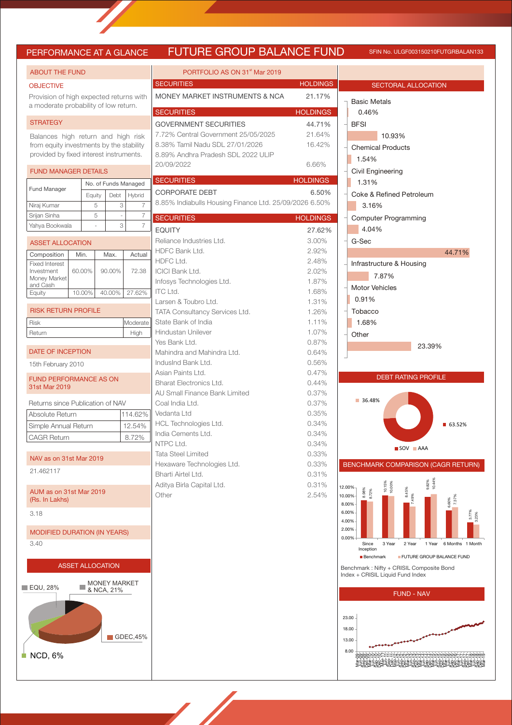# PERFORMANCE AT A GLANCE FUTURE GROUP BALANCE FUND

SFIN No. ULGF003150210FUTGRBALAN133

| <b>ABOUT THE FUND</b>                          |                         |                     |                         | PORTFOLIO AS ON 31 <sup>st</sup> Mar 2019              |                 |
|------------------------------------------------|-------------------------|---------------------|-------------------------|--------------------------------------------------------|-----------------|
| <b>OBJECTIVE</b>                               |                         |                     |                         | <b>SECURITIES</b>                                      | <b>HOLDINGS</b> |
| Provision of high expected returns with        |                         |                     |                         | MONEY MARKET INSTRUMENTS & NCA                         | 21.17%          |
| a moderate probability of low return.          |                         |                     |                         | <b>SECURITIES</b>                                      | <b>HOLDINGS</b> |
| <b>STRATEGY</b>                                |                         |                     |                         | <b>GOVERNMENT SECURITIES</b>                           | 44.71%          |
| Balances high return and high risk             |                         |                     |                         | 7.72% Central Government 25/05/2025                    | 21.64%          |
| from equity investments by the stability       |                         |                     |                         | 8.38% Tamil Nadu SDL 27/01/2026                        | 16.42%          |
| provided by fixed interest instruments.        |                         |                     |                         | 8.89% Andhra Pradesh SDL 2022 ULIP                     |                 |
| <b>FUND MANAGER DETAILS</b>                    |                         |                     |                         | 20/09/2022                                             | 6.66%           |
|                                                |                         |                     | No. of Funds Managed    | <b>SECURITIES</b>                                      | <b>HOLDINGS</b> |
| Fund Manager                                   | Equity                  | Debt                | Hybrid                  | <b>CORPORATE DEBT</b>                                  | 6.50%           |
| Niraj Kumar                                    | 5                       | 3                   | 7                       | 8.85% Indiabulls Housing Finance Ltd. 25/09/2026 6.50% |                 |
| Srijan Sinha                                   | 5                       |                     | $\overline{7}$          | <b>SECURITIES</b>                                      | <b>HOLDINGS</b> |
| Yahya Bookwala                                 |                         | 3                   | $\overline{7}$          | <b>EQUITY</b>                                          | 27.62%          |
| <b>ASSET ALLOCATION</b>                        |                         |                     |                         | Reliance Industries Ltd.                               | 3.00%           |
| Composition                                    | Min.                    | Max.                | Actual                  | HDFC Bank Ltd.                                         | 2.92%           |
| <b>Fixed Interest</b>                          |                         |                     |                         | HDFC Ltd.                                              | 2.48%           |
| Investment<br>Money Market                     | 60.00%                  | 90.00%              | 72.38                   | <b>ICICI Bank Ltd.</b><br>Infosys Technologies Ltd.    | 2.02%<br>1.87%  |
| and Cash<br>Equity                             | 10.00%                  | 40.00%              | 27.62%                  | <b>ITC Ltd.</b>                                        | 1.68%           |
|                                                |                         |                     |                         | Larsen & Toubro Ltd.                                   | 1.31%           |
| <b>RISK RETURN PROFILE</b>                     |                         |                     |                         | TATA Consultancy Services Ltd.                         | 1.26%           |
| Risk                                           |                         |                     | Moderate                | State Bank of India                                    | 1.11%           |
| Return                                         |                         |                     | High                    | <b>Hindustan Unilever</b>                              | 1.07%           |
| DATE OF INCEPTION                              |                         |                     |                         | Yes Bank Ltd.<br>Mahindra and Mahindra Ltd.            | 0.87%<br>0.64%  |
| 15th February 2010                             |                         |                     |                         | IndusInd Bank Ltd.                                     | 0.56%           |
|                                                |                         |                     |                         | Asian Paints Ltd.                                      | 0.47%           |
| <b>FUND PERFORMANCE AS ON</b><br>31st Mar 2019 |                         |                     |                         | <b>Bharat Electronics Ltd.</b>                         | 0.44%           |
|                                                |                         |                     |                         | AU Small Finance Bank Limited                          | 0.37%           |
| Returns since Publication of NAV               |                         |                     |                         | Coal India Ltd.                                        | 0.37%           |
| Absolute Return                                |                         |                     | 114.62%                 | Vedanta Ltd<br>HCL Technologies Ltd.                   | 0.35%<br>0.34%  |
| Simple Annual Return<br><b>CAGR Return</b>     |                         |                     | 12.54%                  | India Cements Ltd.                                     | 0.34%           |
|                                                |                         |                     | 8.72%                   | NTPC Ltd.                                              | 0.34%           |
| NAV as on 31st Mar 2019                        |                         |                     |                         | <b>Tata Steel Limited</b>                              | 0.33%           |
| 21.462117                                      |                         |                     |                         | Hexaware Technologies Ltd.                             | 0.33%           |
|                                                |                         |                     |                         | Bharti Airtel Ltd.                                     | 0.31%           |
| AUM as on 31st Mar 2019                        |                         |                     |                         | Aditya Birla Capital Ltd.<br>Other                     | 0.31%<br>2.54%  |
| (Rs. In Lakhs)                                 |                         |                     |                         |                                                        |                 |
| 3.18                                           |                         |                     |                         |                                                        |                 |
|                                                |                         |                     |                         |                                                        |                 |
| <b>MODIFIED DURATION (IN YEARS)</b>            |                         |                     |                         |                                                        |                 |
| 3.40                                           |                         |                     |                         |                                                        |                 |
|                                                | <b>ASSET ALLOCATION</b> |                     |                         |                                                        |                 |
|                                                |                         |                     |                         |                                                        |                 |
| $\blacksquare$ EQU, 28%                        |                         | <b>MONEY MARKET</b> |                         |                                                        |                 |
|                                                |                         | & NCA, 21%          |                         |                                                        |                 |
|                                                |                         |                     |                         |                                                        |                 |
|                                                |                         |                     |                         |                                                        |                 |
|                                                |                         |                     |                         |                                                        |                 |
|                                                |                         |                     | $\blacksquare$ GDEC,45% |                                                        |                 |
| $\blacksquare$ NCD, 6%                         |                         |                     |                         |                                                        |                 |
|                                                |                         |                     |                         |                                                        |                 |
|                                                |                         |                     |                         |                                                        |                 |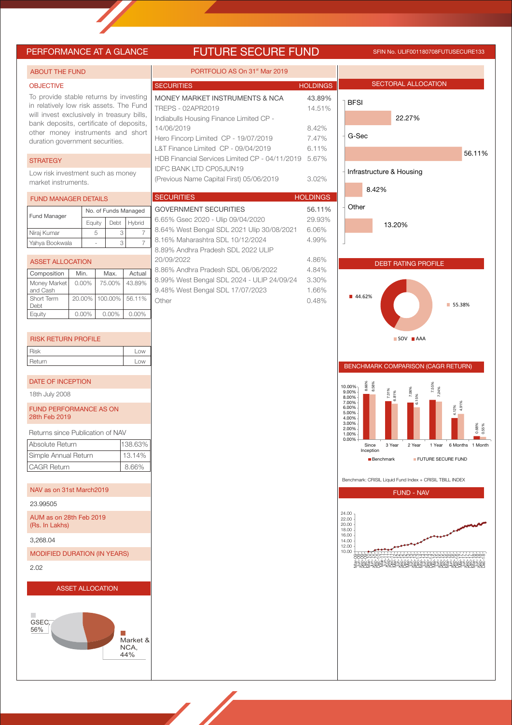# PERFORMANCE AT A GLANCE FUTURE SECURE FUND SFIN No. ULIF001180708FUTUSECURE133

| <b>ABOUT THE FUND</b>                                                                                                                                                                                                                              |                         | PORTFOLIO AS On 31 <sup>st</sup> Mar 2019                                                                                                                                                   |                                             |                                                                               |
|----------------------------------------------------------------------------------------------------------------------------------------------------------------------------------------------------------------------------------------------------|-------------------------|---------------------------------------------------------------------------------------------------------------------------------------------------------------------------------------------|---------------------------------------------|-------------------------------------------------------------------------------|
| <b>OBJECTIVE</b>                                                                                                                                                                                                                                   |                         | <b>SECURITIES</b>                                                                                                                                                                           | <b>HOLDINGS</b>                             | <b>SECTORAL ALLOCATION</b>                                                    |
| To provide stable returns by investing<br>in relatively low risk assets. The Fund<br>will invest exclusively in treasury bills,<br>bank deposits, certificate of deposits,<br>other money instruments and short<br>duration government securities. |                         | MONEY MARKET INSTRUMENTS & NCA<br>TREPS - 02APR2019<br>Indiabulls Housing Finance Limited CP -<br>14/06/2019<br>Hero Fincorp Limited CP - 19/07/2019<br>L&T Finance Limited CP - 09/04/2019 | 43.89%<br>14.51%<br>8.42%<br>7.47%<br>6.11% | <b>BFSI</b><br>22.27%<br>G-Sec                                                |
| <b>STRATEGY</b>                                                                                                                                                                                                                                    |                         | HDB Financial Services Limited CP - 04/11/2019 5.67%                                                                                                                                        |                                             | 56.11%                                                                        |
| Low risk investment such as money<br>market instruments.                                                                                                                                                                                           |                         | <b>IDFC BANK LTD CP05JUN19</b><br>(Previous Name Capital First) 05/06/2019                                                                                                                  | 3.02%                                       | Infrastructure & Housing<br>8.42%                                             |
| <b>FUND MANAGER DETAILS</b>                                                                                                                                                                                                                        |                         | <b>SECURITIES</b>                                                                                                                                                                           | <b>HOLDINGS</b>                             |                                                                               |
| No. of Funds Managed<br>Fund Manager<br>Debt<br>Equity                                                                                                                                                                                             | Hybrid                  | <b>GOVERNMENT SECURITIES</b><br>6.65% Gsec 2020 - Ulip 09/04/2020                                                                                                                           | 56.11%<br>29.93%                            | Other<br>13.20%                                                               |
| 5<br>Niraj Kumar                                                                                                                                                                                                                                   | 3<br>$\overline{7}$     | 8.64% West Bengal SDL 2021 Ulip 30/08/2021                                                                                                                                                  | 6.06%                                       |                                                                               |
| Yahya Bookwala                                                                                                                                                                                                                                     | 3<br>7                  | 8.16% Maharashtra SDL 10/12/2024<br>8.89% Andhra Pradesh SDL 2022 ULIP                                                                                                                      | 4.99%                                       |                                                                               |
| <b>ASSET ALLOCATION</b>                                                                                                                                                                                                                            |                         | 20/09/2022                                                                                                                                                                                  | 4.86%                                       | <b>DEBT RATING PROFILE</b>                                                    |
| Composition<br>Min.<br>Max.                                                                                                                                                                                                                        | Actual                  | 8.86% Andhra Pradesh SDL 06/06/2022                                                                                                                                                         | 4.84%                                       |                                                                               |
| Money Market<br>$0.00\%$<br>75.00%                                                                                                                                                                                                                 | 43.89%                  | 8.99% West Bengal SDL 2024 - ULIP 24/09/24                                                                                                                                                  | 3.30%                                       |                                                                               |
| and Cash<br>Short Term<br>20.00%<br>100.00%<br>Debt                                                                                                                                                                                                | 56.11%                  | 9.48% West Bengal SDL 17/07/2023<br>Other                                                                                                                                                   | 1.66%<br>0.48%                              | ■ 44.62%<br>■ 55.38%                                                          |
| $0.00\%$<br>0.00%<br>Equity                                                                                                                                                                                                                        | $0.00\%$                |                                                                                                                                                                                             |                                             |                                                                               |
|                                                                                                                                                                                                                                                    |                         |                                                                                                                                                                                             |                                             |                                                                               |
| <b>RISK RETURN PROFILE</b>                                                                                                                                                                                                                         |                         |                                                                                                                                                                                             |                                             | $SOV$ $AAA$                                                                   |
| Risk                                                                                                                                                                                                                                               | Low                     |                                                                                                                                                                                             |                                             |                                                                               |
| Return                                                                                                                                                                                                                                             | Low                     |                                                                                                                                                                                             |                                             | BENCHMARK COMPARISON (CAGR RETURN)                                            |
| DATE OF INCEPTION                                                                                                                                                                                                                                  |                         |                                                                                                                                                                                             |                                             | 8.66%<br>8.58%<br>10.00%                                                      |
| 18th July 2008                                                                                                                                                                                                                                     |                         |                                                                                                                                                                                             |                                             | 7.55%<br>7.24%<br>7.06%<br>7.31%<br>$9.00\%$<br>6.81%<br>15%<br>8.00%         |
| <b>FUND PERFORMANCE AS ON</b><br>28th Feb 2019                                                                                                                                                                                                     |                         |                                                                                                                                                                                             |                                             | 7.00%<br>$4.12%$<br>$4.91$<br>6.00%<br>5.00%<br>4.00%<br>3.00%                |
| Returns since Publication of NAV                                                                                                                                                                                                                   |                         |                                                                                                                                                                                             |                                             | 0.68%<br>0.55%<br>2.00%<br>1.00%<br>0.00%                                     |
| Absolute Return                                                                                                                                                                                                                                    | 138.63%                 |                                                                                                                                                                                             |                                             | 2 Year<br>1 Year 6 Months 1 Month<br>Since<br>3 Year<br>Inception             |
| Simple Annual Return                                                                                                                                                                                                                               | 13.14%                  |                                                                                                                                                                                             |                                             | <b>Benchmark</b><br>FUTURE SECURE FUND                                        |
| <b>CAGR Return</b>                                                                                                                                                                                                                                 | 8.66%                   |                                                                                                                                                                                             |                                             |                                                                               |
| NAV as on 31st March2019                                                                                                                                                                                                                           |                         |                                                                                                                                                                                             |                                             | Benchmark: CRISIL Liquid Fund Index + CRISIL TBILL INDEX<br><b>FUND - NAV</b> |
| 23.99505                                                                                                                                                                                                                                           |                         |                                                                                                                                                                                             |                                             |                                                                               |
| AUM as on 28th Feb 2019<br>(Rs. In Lakhs)                                                                                                                                                                                                          |                         |                                                                                                                                                                                             |                                             | 24.00<br>22.00<br>20.00<br>18.00                                              |
| 3,268.04                                                                                                                                                                                                                                           |                         |                                                                                                                                                                                             |                                             | 16.00<br>14.00<br>12.00                                                       |
| <b>MODIFIED DURATION (IN YEARS)</b>                                                                                                                                                                                                                |                         |                                                                                                                                                                                             |                                             | 10.00                                                                         |
| 2.02                                                                                                                                                                                                                                               |                         |                                                                                                                                                                                             |                                             |                                                                               |
| <b>ASSET ALLOCATION</b>                                                                                                                                                                                                                            |                         |                                                                                                                                                                                             |                                             |                                                                               |
| GSEC,<br>56%                                                                                                                                                                                                                                       | Market &<br>NCA,<br>44% |                                                                                                                                                                                             |                                             |                                                                               |

**September 1888**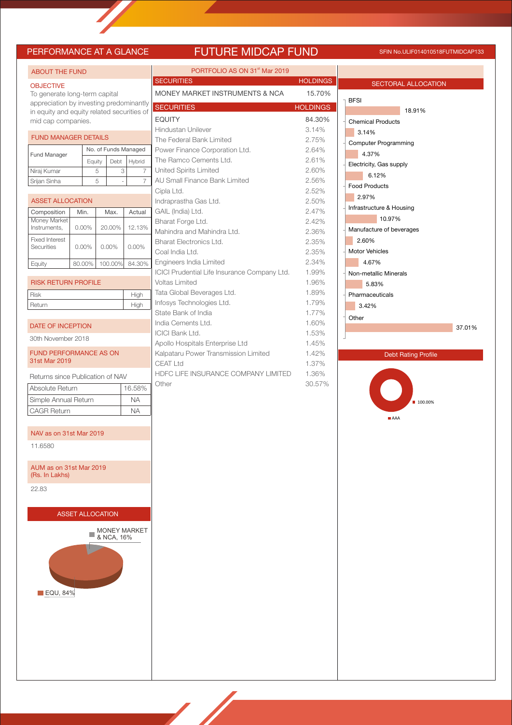## **FUTURE MIDCAP FUND** SFIN No.ULIF014010518FUTMIDCAP133

| PERFORMANCE AT A GLANCE                                              |  |                         |   |            |                     |  |  |  |
|----------------------------------------------------------------------|--|-------------------------|---|------------|---------------------|--|--|--|
| <b>ABOUT THE FUND</b>                                                |  |                         |   |            |                     |  |  |  |
| <b>OBJECTIVE</b>                                                     |  |                         |   |            |                     |  |  |  |
| To generate long-term capital                                        |  |                         |   |            |                     |  |  |  |
| appreciation by investing predominantly                              |  |                         |   |            |                     |  |  |  |
| in equity and equity related securities of                           |  |                         |   |            |                     |  |  |  |
| mid cap companies.                                                   |  |                         |   |            |                     |  |  |  |
| <b>FUND MANAGER DETAILS</b>                                          |  |                         |   |            |                     |  |  |  |
| No. of Funds Managed<br><b>Fund Manager</b>                          |  |                         |   |            |                     |  |  |  |
| Debt<br>Hybrid<br>Equity<br>Niraj Kumar<br>5<br>3<br>7               |  |                         |   |            |                     |  |  |  |
| Srijan Sinha                                                         |  |                         | 5 |            | 7                   |  |  |  |
|                                                                      |  |                         |   |            |                     |  |  |  |
| <b>ASSET ALLOCATION</b>                                              |  |                         |   |            |                     |  |  |  |
| Composition                                                          |  | Min.                    |   | Max.       | Actual              |  |  |  |
| Money Market<br>Instruments.                                         |  | $0.00\%$                |   | 20.00%     | 12.13%              |  |  |  |
| <b>Fixed Interest</b><br>Securities                                  |  | 0.00%                   |   | 0.00%      | $0.00\%$            |  |  |  |
| Equity                                                               |  | 80.00%                  |   | 100.00%    | 84.30%              |  |  |  |
| <b>RISK RETURN PROFILE</b>                                           |  |                         |   |            |                     |  |  |  |
| <b>Risk</b>                                                          |  |                         |   |            | High                |  |  |  |
| Return                                                               |  |                         |   |            | High                |  |  |  |
| 30th November 2018<br><b>FUND PERFORMANCE AS ON</b><br>31st Mar 2019 |  |                         |   |            |                     |  |  |  |
| Returns since Publication of NAV                                     |  |                         |   |            |                     |  |  |  |
| Absolute Return                                                      |  |                         |   |            | 16.58%              |  |  |  |
| Simple Annual Return                                                 |  |                         |   |            | NA                  |  |  |  |
| <b>CAGR Return</b>                                                   |  |                         |   |            | <b>NA</b>           |  |  |  |
| NAV as on 31st Mar 2019                                              |  |                         |   |            |                     |  |  |  |
| 11.6580                                                              |  |                         |   |            |                     |  |  |  |
| AUM as on 31st Mar 2019<br>(Rs. In Lakhs)                            |  |                         |   |            |                     |  |  |  |
| 22.83                                                                |  |                         |   |            |                     |  |  |  |
|                                                                      |  |                         |   |            |                     |  |  |  |
|                                                                      |  | <b>ASSET ALLOCATION</b> |   |            |                     |  |  |  |
|                                                                      |  |                         |   | & NCA, 16% | <b>MONEY MARKET</b> |  |  |  |
|                                                                      |  |                         |   |            |                     |  |  |  |
| $\blacksquare$ EQU, 84%                                              |  |                         |   |            |                     |  |  |  |
|                                                                      |  |                         |   |            |                     |  |  |  |

| PORTFOLIO AS ON 31 <sup>st</sup> Mar 2019    |                 |
|----------------------------------------------|-----------------|
| <b>SECURITIES</b>                            | <b>HOLDINGS</b> |
| MONEY MARKET INSTRUMENTS & NCA               | 15.70%          |
| <b>SECURITIES</b>                            | <b>HOLDINGS</b> |
| <b>EQUITY</b>                                | 84.30%          |
| Hindustan Unilever                           | 3.14%           |
| The Federal Bank Limited                     | 2.75%           |
| Power Finance Corporation Ltd.               | 2.64%           |
| The Ramco Cements Ltd.                       | 2.61%           |
| <b>United Spirits Limited</b>                | 2.60%           |
| AU Small Finance Bank Limited                | 2.56%           |
| Cipla Ltd.                                   | 2.52%           |
| Indraprastha Gas Ltd.                        | 2.50%           |
| GAIL (India) Ltd.                            | 2.47%           |
| Bharat Forge Ltd.                            | 2.42%           |
| Mahindra and Mahindra Ltd.                   | 2.36%           |
| Bharat Electronics Ltd.                      | 2.35%           |
| Coal India Ltd.                              | 2.35%           |
| Engineers India Limited                      | 2.34%           |
| ICICI Prudential Life Insurance Company Ltd. | 1.99%           |
| <b>Voltas Limited</b>                        | 1.96%           |
| Tata Global Beverages Ltd.                   | 1.89%           |
| Infosys Technologies Ltd.                    | 1.79%           |
| State Bank of India                          | 1.77%           |
| India Cements Ltd.                           | 1.60%           |
| <b>ICICI Bank Ltd.</b>                       | 1.53%           |
| Apollo Hospitals Enterprise Ltd              | 1.45%           |
| Kalpataru Power Transmission Limited         | 1.42%           |
| CEAT Ltd                                     | 1.37%           |
| HDFC LIFE INSURANCE COMPANY LIMITED          | 1.36%           |
| Other                                        | 30.57%          |

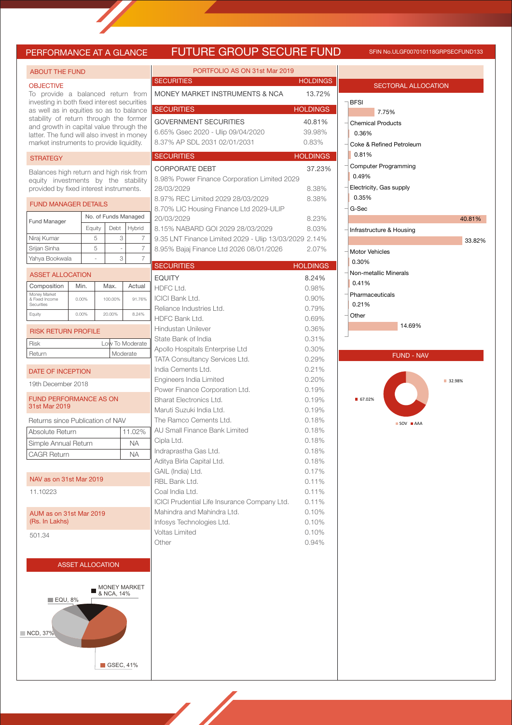# **PRE GROUP SECURE FUND** SFIN No.ULGF007010118GRPSECFUND133

| PERFORMANCE AT A GLANCE                                                                                                   |                   |    |                         |                      | <b>FUTL</b>                                                |
|---------------------------------------------------------------------------------------------------------------------------|-------------------|----|-------------------------|----------------------|------------------------------------------------------------|
| <b>ABOUT THE FUND</b>                                                                                                     |                   |    |                         |                      | P(                                                         |
| <b>OBJECTIVE</b><br>To provide a balanced return from                                                                     |                   |    |                         |                      | <b>SECURITIES</b><br><b>MONEY MARK</b>                     |
| investing in both fixed interest securities<br>as well as in equities so as to balance                                    | <b>SECURITIES</b> |    |                         |                      |                                                            |
| stability of return through the former                                                                                    | <b>GOVERNMEN</b>  |    |                         |                      |                                                            |
| and growth in capital value through the<br>latter. The fund will also invest in money                                     |                   |    |                         |                      | 6.65% Gsec 2                                               |
| market instruments to provide liquidity.                                                                                  |                   |    |                         |                      | 8.37% AP SDL                                               |
| <b>STRATEGY</b>                                                                                                           |                   |    |                         |                      | <b>SECURITIES</b>                                          |
| Balances high return and high risk from<br>equity investments by the stability<br>provided by fixed interest instruments. |                   |    |                         |                      | CORPORATE<br>8.98% Power I<br>28/03/2029                   |
| <b>FUND MANAGER DETAILS</b>                                                                                               |                   |    |                         |                      | 8.97% REC Lir                                              |
|                                                                                                                           |                   |    |                         | No. of Funds Managed | 8.70% LIC Hou<br>20/03/2029                                |
| <b>Fund Manager</b>                                                                                                       | Equity            |    | Debt                    | Hybrid               | 8.15% NABAR                                                |
| Niraj Kumar                                                                                                               |                   | 5  | 3                       | 7                    | 9.35 LNT Finar                                             |
| Srijan Sinha                                                                                                              |                   | 5  | ÷,                      | 7                    | 8.95% Bajaj Fir                                            |
| Yahya Bookwala                                                                                                            |                   | L, | 3                       | 7                    |                                                            |
| <b>ASSET ALLOCATION</b>                                                                                                   |                   |    |                         |                      | <b>SECURITIES</b>                                          |
| Composition                                                                                                               | Min.              |    | Max.                    | Actual               | <b>EQUITY</b>                                              |
| Money Market                                                                                                              |                   |    |                         |                      | HDFC Ltd.<br><b>ICICI Bank Ltd</b>                         |
| & Fixed Income<br>Securities                                                                                              | 0.00%             |    | 100.00%                 | 91.76%               | Reliance Indus                                             |
| Equity                                                                                                                    | 0.00%             |    | 20.00%                  | 8.24%                | <b>HDFC Bank Lt</b>                                        |
| <b>RISK RETURN PROFILE</b>                                                                                                |                   |    |                         |                      | Hindustan Unil                                             |
| <b>Risk</b>                                                                                                               |                   |    |                         | Low To Moderate      | State Bank of I<br>Apollo Hospita<br><b>TATA Consulta</b>  |
| Return                                                                                                                    |                   |    |                         | Moderate             |                                                            |
| DATE OF INCEPTION                                                                                                         |                   |    |                         |                      | India Cements                                              |
|                                                                                                                           |                   |    |                         |                      | Engineers India                                            |
| 19th December 2018                                                                                                        |                   |    |                         |                      | Power Finance                                              |
| <b>FUND PERFORMANCE AS ON</b><br>31st Mar 2019                                                                            |                   |    |                         |                      | <b>Bharat Electron</b><br>Maruti Suzuki I                  |
| Returns since Publication of NAV                                                                                          |                   |    |                         |                      | The Ramco Ce                                               |
| Absolute Return                                                                                                           |                   |    |                         | 11.02%               | AU Small Finar                                             |
| Simple Annual Return                                                                                                      |                   |    |                         | NА                   | Cipla Ltd.                                                 |
| <b>CAGR Return</b>                                                                                                        |                   |    |                         | <b>NA</b>            | Indraprastha G<br>Aditya Birla Ca                          |
|                                                                                                                           |                   |    |                         |                      | GAIL (India) Ltd                                           |
| NAV as on 31st Mar 2019                                                                                                   |                   |    |                         |                      | RBL Bank Ltd.                                              |
| 11.10223                                                                                                                  |                   |    |                         |                      | Coal India Ltd.                                            |
| AUM as on 31st Mar 2019<br>(Rs. In Lakhs)                                                                                 |                   |    |                         |                      | <b>ICICI Prudentia</b><br>Mahindra and I<br>Infosys Techno |
| 501.34                                                                                                                    |                   |    |                         |                      | <b>Voltas Limited</b>                                      |
|                                                                                                                           |                   |    |                         |                      | Other                                                      |
|                                                                                                                           |                   |    | <b>ASSET ALLOCATION</b> |                      |                                                            |
|                                                                                                                           |                   |    |                         |                      |                                                            |
|                                                                                                                           |                   |    | & NCA, 14%              | <b>MONEY MARKET</b>  |                                                            |
| $\blacksquare$ EQU, 8%                                                                                                    |                   |    |                         |                      |                                                            |
| NCD, 37%                                                                                                                  |                   |    |                         |                      |                                                            |
|                                                                                                                           |                   |    |                         |                      |                                                            |
|                                                                                                                           |                   |    | GSEC, 41%               |                      |                                                            |

| PORTFOLIO AS ON 31st Mar 2019                                    |                 |
|------------------------------------------------------------------|-----------------|
| <b>SECURITIES</b>                                                | <b>HOLDINGS</b> |
| MONEY MARKET INSTRUMENTS & NCA                                   | 13.72%          |
| <b>SECURITIES</b>                                                | <b>HOLDINGS</b> |
| <b>GOVERNMENT SECURITIES</b>                                     | 40.81%          |
| 6.65% Gsec 2020 - Ulip 09/04/2020                                | 39.98%          |
| 8.37% AP SDL 2031 02/01/2031                                     | 0.83%           |
| <b>SECURITIES</b>                                                | <b>HOLDINGS</b> |
| <b>CORPORATE DEBT</b>                                            | 37.23%          |
| 8.98% Power Finance Corporation Limited 2029<br>28/03/2029       | 8.38%           |
| 8.97% REC Limited 2029 28/03/2029                                | 8.38%           |
| 8.70% LIC Housing Finance Ltd 2029-ULIP                          |                 |
| 20/03/2029                                                       | 8.23%           |
| 8.15% NABARD GOI 2029 28/03/2029                                 | 8.03%           |
| 9.35 LNT Finance Limited 2029 - Ulip 13/03/2029 2.14%            |                 |
| 8.95% Bajaj Finance Ltd 2026 08/01/2026                          | 2.07%           |
| <b>SECURITIES</b>                                                | <b>HOLDINGS</b> |
| <b>EQUITY</b>                                                    | 8.24%           |
| HDFC Ltd.                                                        | 0.98%           |
| ICICI Bank Ltd.                                                  | 0.90%           |
| Reliance Industries Ltd.<br>HDFC Bank Ltd.                       | 0.79%<br>0.69%  |
| Hindustan Unilever                                               | 0.36%           |
| State Bank of India                                              | 0.31%           |
| Apollo Hospitals Enterprise Ltd                                  | 0.30%           |
| TATA Consultancy Services Ltd.                                   | 0.29%           |
| India Cements Ltd.                                               | 0.21%           |
| Engineers India Limited                                          | 0.20%           |
| Power Finance Corporation Ltd.<br><b>Bharat Electronics Ltd.</b> | 0.19%<br>0.19%  |
| Maruti Suzuki India Ltd.                                         | 0.19%           |
| The Ramco Cements Ltd.                                           | 0.18%           |
| AU Small Finance Bank Limited                                    | 0.18%           |
| Cipla Ltd.                                                       | 0.18%           |
| Indraprastha Gas Ltd.                                            | 0.18%           |
| Aditya Birla Capital Ltd.                                        | 0.18%           |
| GAIL (India) Ltd.<br>RBL Bank Ltd.                               | 0.17%<br>0.11%  |
| Coal India Ltd.                                                  | 0.11%           |
| ICICI Prudential Life Insurance Company Ltd.                     | 0.11%           |
| Mahindra and Mahindra Ltd.                                       | 0.10%           |
| Infosys Technologies Ltd.                                        | 0.10%           |
| Voltas Limited                                                   | 0.10%           |
| Other                                                            | 0.94%           |
|                                                                  |                 |
|                                                                  |                 |
|                                                                  |                 |
|                                                                  |                 |
|                                                                  |                 |
|                                                                  |                 |
|                                                                  |                 |
|                                                                  |                 |
|                                                                  |                 |